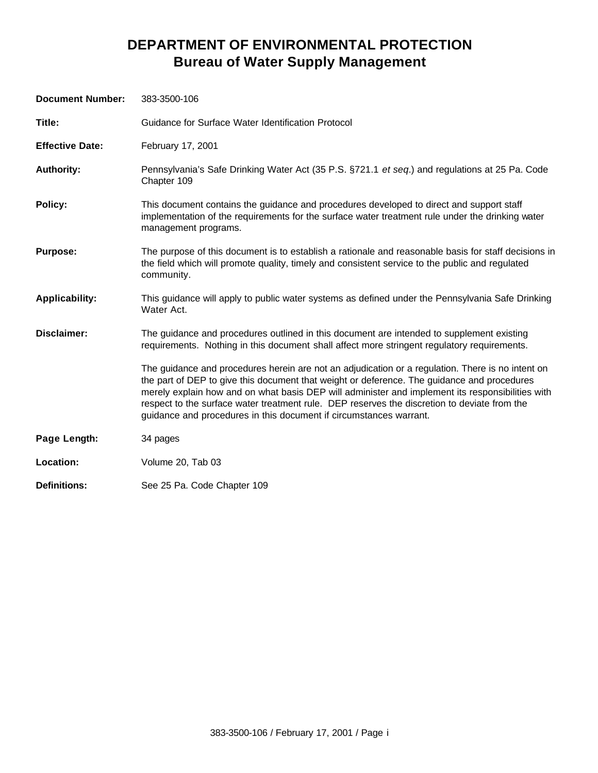### **DEPARTMENT OF ENVIRONMENTAL PROTECTION Bureau of Water Supply Management**

| <b>Document Number:</b> | 383-3500-106                                                                                                                                                                                                                                                                                                                                                                                                                                                               |
|-------------------------|----------------------------------------------------------------------------------------------------------------------------------------------------------------------------------------------------------------------------------------------------------------------------------------------------------------------------------------------------------------------------------------------------------------------------------------------------------------------------|
| Title:                  | Guidance for Surface Water Identification Protocol                                                                                                                                                                                                                                                                                                                                                                                                                         |
| <b>Effective Date:</b>  | February 17, 2001                                                                                                                                                                                                                                                                                                                                                                                                                                                          |
| <b>Authority:</b>       | Pennsylvania's Safe Drinking Water Act (35 P.S. §721.1 et seq.) and regulations at 25 Pa. Code<br>Chapter 109                                                                                                                                                                                                                                                                                                                                                              |
| Policy:                 | This document contains the guidance and procedures developed to direct and support staff<br>implementation of the requirements for the surface water treatment rule under the drinking water<br>management programs.                                                                                                                                                                                                                                                       |
| <b>Purpose:</b>         | The purpose of this document is to establish a rationale and reasonable basis for staff decisions in<br>the field which will promote quality, timely and consistent service to the public and regulated<br>community.                                                                                                                                                                                                                                                      |
| <b>Applicability:</b>   | This guidance will apply to public water systems as defined under the Pennsylvania Safe Drinking<br>Water Act.                                                                                                                                                                                                                                                                                                                                                             |
| Disclaimer:             | The guidance and procedures outlined in this document are intended to supplement existing<br>requirements. Nothing in this document shall affect more stringent regulatory requirements.                                                                                                                                                                                                                                                                                   |
|                         | The guidance and procedures herein are not an adjudication or a regulation. There is no intent on<br>the part of DEP to give this document that weight or deference. The guidance and procedures<br>merely explain how and on what basis DEP will administer and implement its responsibilities with<br>respect to the surface water treatment rule. DEP reserves the discretion to deviate from the<br>guidance and procedures in this document if circumstances warrant. |
| Page Length:            | 34 pages                                                                                                                                                                                                                                                                                                                                                                                                                                                                   |
| Location:               | Volume 20, Tab 03                                                                                                                                                                                                                                                                                                                                                                                                                                                          |
| <b>Definitions:</b>     | See 25 Pa. Code Chapter 109                                                                                                                                                                                                                                                                                                                                                                                                                                                |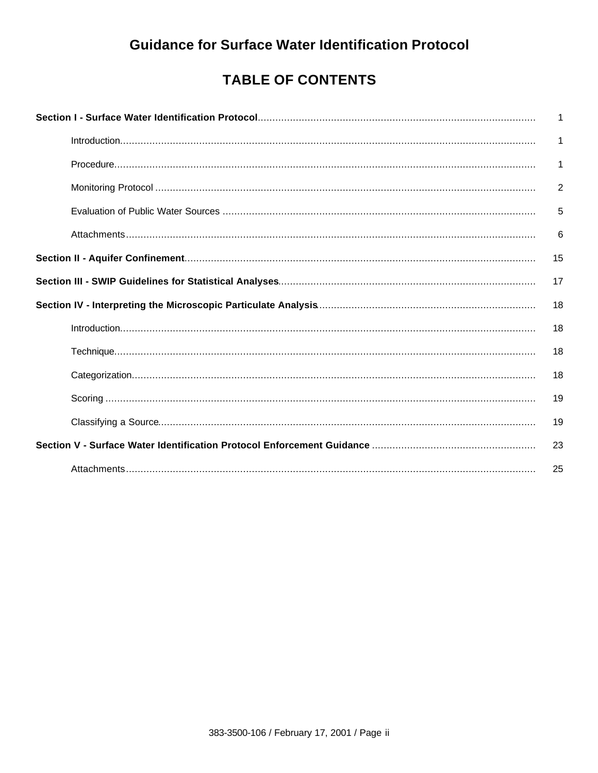## **Guidance for Surface Water Identification Protocol**

# **TABLE OF CONTENTS**

| 1              |
|----------------|
| 1              |
| 1              |
| $\overline{2}$ |
| 5              |
| 6              |
| 15             |
| 17             |
| 18             |
| 18             |
| 18             |
| 18             |
| 19             |
| 19             |
| 23             |
|                |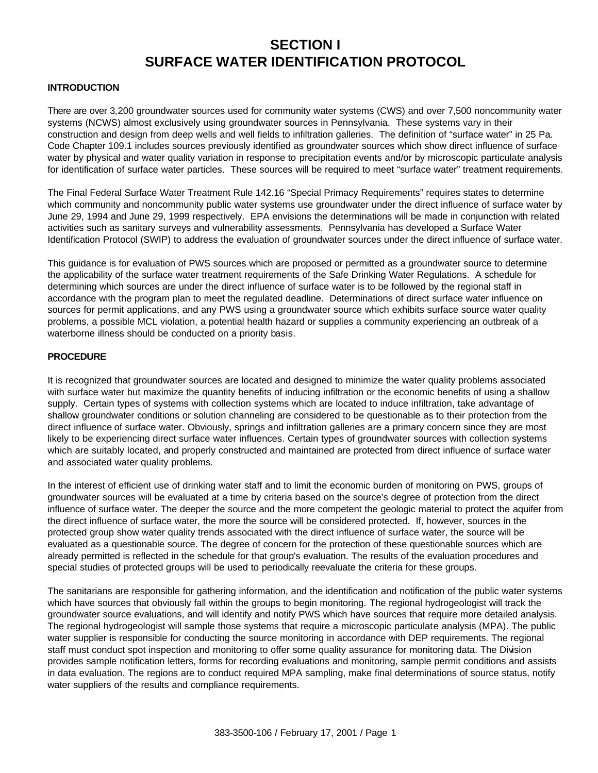### **SECTION I SURFACE WATER IDENTIFICATION PROTOCOL**

#### **INTRODUCTION**

There are over 3,200 groundwater sources used for community water systems (CWS) and over 7,500 noncommunity water systems (NCWS) almost exclusively using groundwater sources in Pennsylvania. These systems vary in their construction and design from deep wells and well fields to infiltration galleries. The definition of "surface water" in 25 Pa. Code Chapter 109.1 includes sources previously identified as groundwater sources which show direct influence of surface water by physical and water quality variation in response to precipitation events and/or by microscopic particulate analysis for identification of surface water particles. These sources will be required to meet "surface water" treatment requirements.

The Final Federal Surface Water Treatment Rule 142.16 "Special Primacy Requirements" requires states to determine which community and noncommunity public water systems use groundwater under the direct influence of surface water by June 29, 1994 and June 29, 1999 respectively. EPA envisions the determinations will be made in conjunction with related activities such as sanitary surveys and vulnerability assessments. Pennsylvania has developed a Surface Water Identification Protocol (SWIP) to address the evaluation of groundwater sources under the direct influence of surface water.

This guidance is for evaluation of PWS sources which are proposed or permitted as a groundwater source to determine the applicability of the surface water treatment requirements of the Safe Drinking Water Regulations. A schedule for determining which sources are under the direct influence of surface water is to be followed by the regional staff in accordance with the program plan to meet the regulated deadline. Determinations of direct surface water influence on sources for permit applications, and any PWS using a groundwater source which exhibits surface source water quality problems, a possible MCL violation, a potential health hazard or supplies a community experiencing an outbreak of a waterborne illness should be conducted on a priority basis.

#### **PROCEDURE**

It is recognized that groundwater sources are located and designed to minimize the water quality problems associated with surface water but maximize the quantity benefits of inducing infiltration or the economic benefits of using a shallow supply. Certain types of systems with collection systems which are located to induce infiltration, take advantage of shallow groundwater conditions or solution channeling are considered to be questionable as to their protection from the direct influence of surface water. Obviously, springs and infiltration galleries are a primary concern since they are most likely to be experiencing direct surface water influences. Certain types of groundwater sources with collection systems which are suitably located, and properly constructed and maintained are protected from direct influence of surface water and associated water quality problems.

In the interest of efficient use of drinking water staff and to limit the economic burden of monitoring on PWS, groups of groundwater sources will be evaluated at a time by criteria based on the source's degree of protection from the direct influence of surface water. The deeper the source and the more competent the geologic material to protect the aquifer from the direct influence of surface water, the more the source will be considered protected. If, however, sources in the protected group show water quality trends associated with the direct influence of surface water, the source will be evaluated as a questionable source. The degree of concern for the protection of these questionable sources which are already permitted is reflected in the schedule for that group's evaluation. The results of the evaluation procedures and special studies of protected groups will be used to periodically reevaluate the criteria for these groups.

The sanitarians are responsible for gathering information, and the identification and notification of the public water systems which have sources that obviously fall within the groups to begin monitoring. The regional hydrogeologist will track the groundwater source evaluations, and will identify and notify PWS which have sources that require more detailed analysis. The regional hydrogeologist will sample those systems that require a microscopic particulate analysis (MPA). The public water supplier is responsible for conducting the source monitoring in accordance with DEP requirements. The regional staff must conduct spot inspection and monitoring to offer some quality assurance for monitoring data. The Division provides sample notification letters, forms for recording evaluations and monitoring, sample permit conditions and assists in data evaluation. The regions are to conduct required MPA sampling, make final determinations of source status, notify water suppliers of the results and compliance requirements.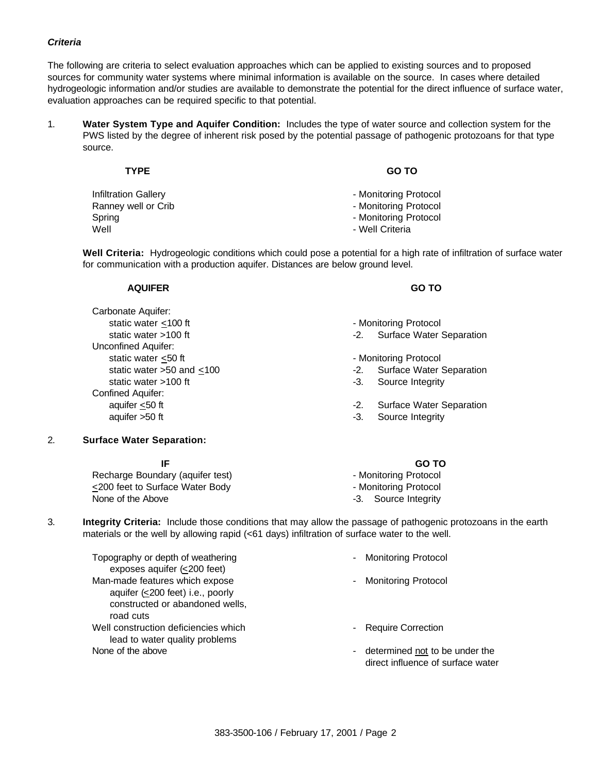#### *Criteria*

The following are criteria to select evaluation approaches which can be applied to existing sources and to proposed sources for community water systems where minimal information is available on the source. In cases where detailed hydrogeologic information and/or studies are available to demonstrate the potential for the direct influence of surface water, evaluation approaches can be required specific to that potential.

1. **Water System Type and Aquifer Condition:** Includes the type of water source and collection system for the PWS listed by the degree of inherent risk posed by the potential passage of pathogenic protozoans for that type source.

| <b>TYPE</b>          | <b>GO TO</b>          |
|----------------------|-----------------------|
| Infiltration Gallery | - Monitoring Protocol |
| Ranney well or Crib  | - Monitoring Protocol |
| Spring               | - Monitoring Protocol |
| Well                 | - Well Criteria       |

**Well Criteria:** Hydrogeologic conditions which could pose a potential for a high rate of infiltration of surface water for communication with a production aquifer. Distances are below ground level.

#### **AQUIFER GO TO**

Carbonate Aquifer: static water <100 ft - Monitoring Protocol Unconfined Aquifer: static water <50 ft - Monitoring Protocol static water >100 ft -3. Source Integrity Confined Aquifer: aquifer >50 ft -3. Source Integrity

- 
- static water >100 ft -2. Surface Water Separation
	-
- static water  $>50$  and  $\leq 100$   $\leq 2$ . Surface Water Separation
	-
- aquifer <50 ft -2. Surface Water Separation
	-

### 2. **Surface Water Separation:**

Recharge Boundary (aquifer test) **Fig. 2018** - Monitoring Protocol <200 feet to Surface Water Body - Monitoring Protocol None of the Above **-3.** Source Integrity

#### **IF GO TO**

- 
- 
- 
- 3. **Integrity Criteria:** Include those conditions that may allow the passage of pathogenic protozoans in the earth materials or the well by allowing rapid (<61 days) infiltration of surface water to the well.

Topography or depth of weathering exposes aquifer (<200 feet) Man-made features which expose aquifer (<200 feet) i.e., poorly constructed or abandoned wells, road cuts Well construction deficiencies which lead to water quality problems None of the above  $\sim$  - determined not to be under the

- Monitoring Protocol
- Monitoring Protocol
- Require Correction
- direct influence of surface water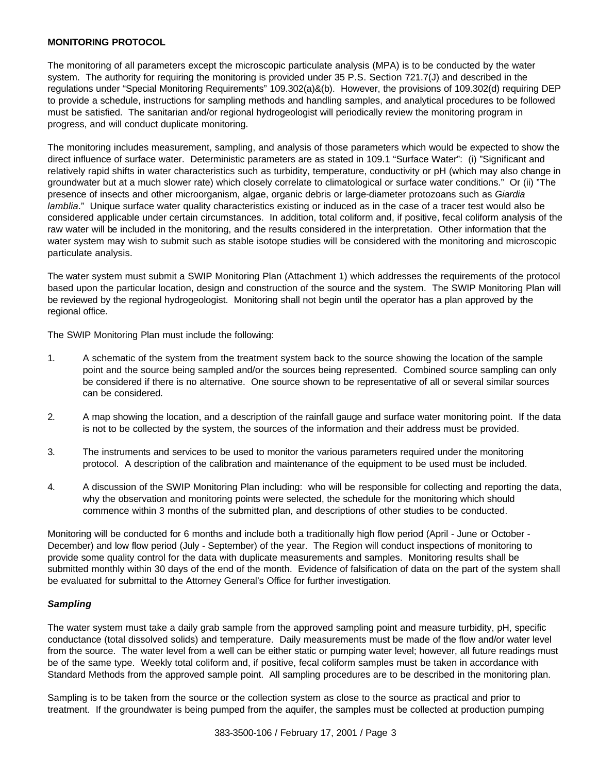#### **MONITORING PROTOCOL**

The monitoring of all parameters except the microscopic particulate analysis (MPA) is to be conducted by the water system. The authority for requiring the monitoring is provided under 35 P.S. Section 721.7(J) and described in the regulations under "Special Monitoring Requirements" 109.302(a)&(b). However, the provisions of 109.302(d) requiring DEP to provide a schedule, instructions for sampling methods and handling samples, and analytical procedures to be followed must be satisfied. The sanitarian and/or regional hydrogeologist will periodically review the monitoring program in progress, and will conduct duplicate monitoring.

The monitoring includes measurement, sampling, and analysis of those parameters which would be expected to show the direct influence of surface water. Deterministic parameters are as stated in 109.1 "Surface Water": (i) "Significant and relatively rapid shifts in water characteristics such as turbidity, temperature, conductivity or pH (which may also change in groundwater but at a much slower rate) which closely correlate to climatological or surface water conditions." Or (ii) "The presence of insects and other microorganism, algae, organic debris or large-diameter protozoans such as *Giardia lamblia*." Unique surface water quality characteristics existing or induced as in the case of a tracer test would also be considered applicable under certain circumstances. In addition, total coliform and, if positive, fecal coliform analysis of the raw water will be included in the monitoring, and the results considered in the interpretation. Other information that the water system may wish to submit such as stable isotope studies will be considered with the monitoring and microscopic particulate analysis.

The water system must submit a SWIP Monitoring Plan (Attachment 1) which addresses the requirements of the protocol based upon the particular location, design and construction of the source and the system. The SWIP Monitoring Plan will be reviewed by the regional hydrogeologist. Monitoring shall not begin until the operator has a plan approved by the regional office.

The SWIP Monitoring Plan must include the following:

- 1. A schematic of the system from the treatment system back to the source showing the location of the sample point and the source being sampled and/or the sources being represented. Combined source sampling can only be considered if there is no alternative. One source shown to be representative of all or several similar sources can be considered.
- 2. A map showing the location, and a description of the rainfall gauge and surface water monitoring point. If the data is not to be collected by the system, the sources of the information and their address must be provided.
- 3. The instruments and services to be used to monitor the various parameters required under the monitoring protocol. A description of the calibration and maintenance of the equipment to be used must be included.
- 4. A discussion of the SWIP Monitoring Plan including: who will be responsible for collecting and reporting the data, why the observation and monitoring points were selected, the schedule for the monitoring which should commence within 3 months of the submitted plan, and descriptions of other studies to be conducted.

Monitoring will be conducted for 6 months and include both a traditionally high flow period (April - June or October - December) and low flow period (July - September) of the year. The Region will conduct inspections of monitoring to provide some quality control for the data with duplicate measurements and samples. Monitoring results shall be submitted monthly within 30 days of the end of the month. Evidence of falsification of data on the part of the system shall be evaluated for submittal to the Attorney General's Office for further investigation.

### *Sampling*

The water system must take a daily grab sample from the approved sampling point and measure turbidity, pH, specific conductance (total dissolved solids) and temperature. Daily measurements must be made of the flow and/or water level from the source. The water level from a well can be either static or pumping water level; however, all future readings must be of the same type. Weekly total coliform and, if positive, fecal coliform samples must be taken in accordance with Standard Methods from the approved sample point. All sampling procedures are to be described in the monitoring plan.

Sampling is to be taken from the source or the collection system as close to the source as practical and prior to treatment. If the groundwater is being pumped from the aquifer, the samples must be collected at production pumping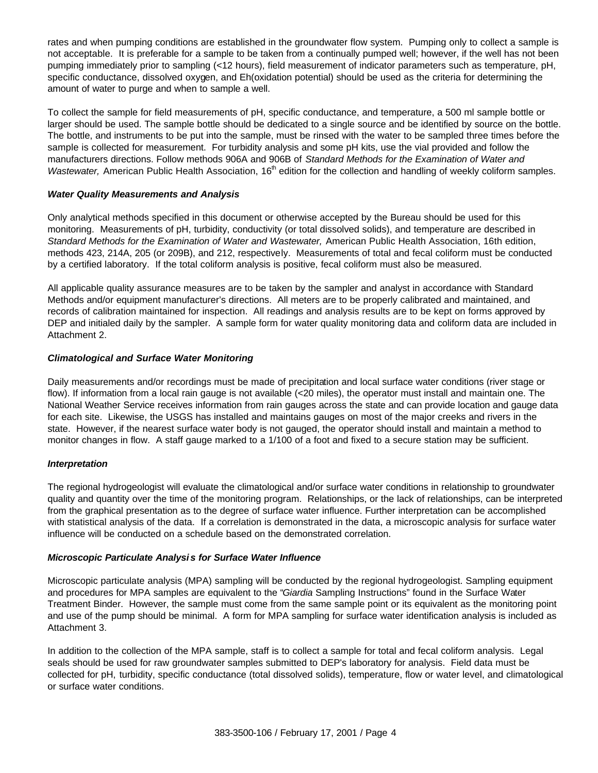rates and when pumping conditions are established in the groundwater flow system. Pumping only to collect a sample is not acceptable. It is preferable for a sample to be taken from a continually pumped well; however, if the well has not been pumping immediately prior to sampling (<12 hours), field measurement of indicator parameters such as temperature, pH, specific conductance, dissolved oxygen, and Eh(oxidation potential) should be used as the criteria for determining the amount of water to purge and when to sample a well.

To collect the sample for field measurements of pH, specific conductance, and temperature, a 500 ml sample bottle or larger should be used. The sample bottle should be dedicated to a single source and be identified by source on the bottle. The bottle, and instruments to be put into the sample, must be rinsed with the water to be sampled three times before the sample is collected for measurement. For turbidity analysis and some pH kits, use the vial provided and follow the manufacturers directions. Follow methods 906A and 906B of *Standard Methods for the Examination of Water and Wastewater*, American Public Health Association, 16<sup>th</sup> edition for the collection and handling of weekly coliform samples.

#### *Water Quality Measurements and Analysis*

Only analytical methods specified in this document or otherwise accepted by the Bureau should be used for this monitoring. Measurements of pH, turbidity, conductivity (or total dissolved solids), and temperature are described in *Standard Methods for the Examination of Water and Wastewater,* American Public Health Association, 16th edition, methods 423, 214A, 205 (or 209B), and 212, respectively. Measurements of total and fecal coliform must be conducted by a certified laboratory. If the total coliform analysis is positive, fecal coliform must also be measured.

All applicable quality assurance measures are to be taken by the sampler and analyst in accordance with Standard Methods and/or equipment manufacturer's directions. All meters are to be properly calibrated and maintained, and records of calibration maintained for inspection. All readings and analysis results are to be kept on forms approved by DEP and initialed daily by the sampler. A sample form for water quality monitoring data and coliform data are included in Attachment 2.

### *Climatological and Surface Water Monitoring*

Daily measurements and/or recordings must be made of precipitation and local surface water conditions (river stage or flow). If information from a local rain gauge is not available (<20 miles), the operator must install and maintain one. The National Weather Service receives information from rain gauges across the state and can provide location and gauge data for each site. Likewise, the USGS has installed and maintains gauges on most of the major creeks and rivers in the state. However, if the nearest surface water body is not gauged, the operator should install and maintain a method to monitor changes in flow. A staff gauge marked to a 1/100 of a foot and fixed to a secure station may be sufficient.

### *Interpretation*

The regional hydrogeologist will evaluate the climatological and/or surface water conditions in relationship to groundwater quality and quantity over the time of the monitoring program. Relationships, or the lack of relationships, can be interpreted from the graphical presentation as to the degree of surface water influence. Further interpretation can be accomplished with statistical analysis of the data. If a correlation is demonstrated in the data, a microscopic analysis for surface water influence will be conducted on a schedule based on the demonstrated correlation.

#### *Microscopic Particulate Analysi s for Surface Water Influence*

Microscopic particulate analysis (MPA) sampling will be conducted by the regional hydrogeologist. Sampling equipment and procedures for MPA samples are equivalent to the "*Giardia* Sampling Instructions" found in the Surface Water Treatment Binder. However, the sample must come from the same sample point or its equivalent as the monitoring point and use of the pump should be minimal. A form for MPA sampling for surface water identification analysis is included as Attachment 3.

In addition to the collection of the MPA sample, staff is to collect a sample for total and fecal coliform analysis. Legal seals should be used for raw groundwater samples submitted to DEP's laboratory for analysis. Field data must be collected for pH, turbidity, specific conductance (total dissolved solids), temperature, flow or water level, and climatological or surface water conditions.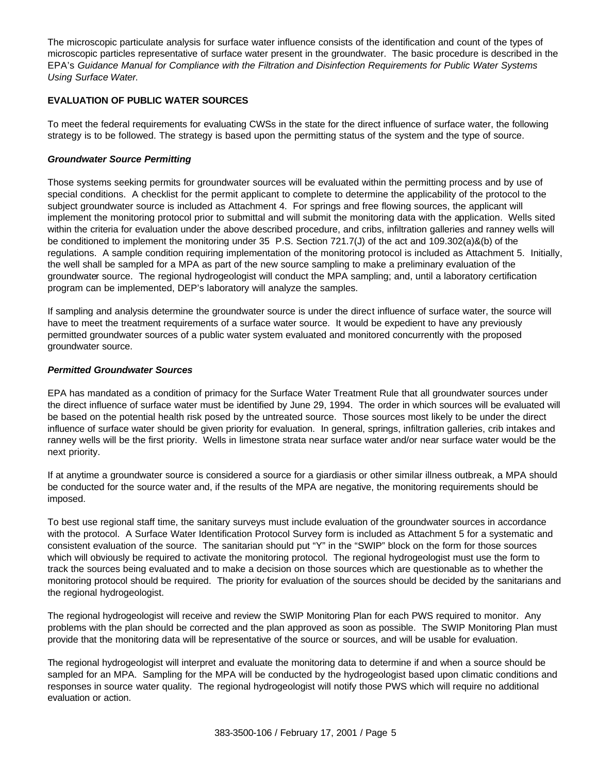The microscopic particulate analysis for surface water influence consists of the identification and count of the types of microscopic particles representative of surface water present in the groundwater. The basic procedure is described in the EPA's *Guidance Manual for Compliance with the Filtration and Disinfection Requirements for Public Water Systems Using Surface Water.*

### **EVALUATION OF PUBLIC WATER SOURCES**

To meet the federal requirements for evaluating CWSs in the state for the direct influence of surface water, the following strategy is to be followed. The strategy is based upon the permitting status of the system and the type of source.

#### *Groundwater Source Permitting*

Those systems seeking permits for groundwater sources will be evaluated within the permitting process and by use of special conditions. A checklist for the permit applicant to complete to determine the applicability of the protocol to the subject groundwater source is included as Attachment 4. For springs and free flowing sources, the applicant will implement the monitoring protocol prior to submittal and will submit the monitoring data with the application. Wells sited within the criteria for evaluation under the above described procedure, and cribs, infiltration galleries and ranney wells will be conditioned to implement the monitoring under 35 P.S. Section 721.7(J) of the act and 109.302(a)&(b) of the regulations. A sample condition requiring implementation of the monitoring protocol is included as Attachment 5. Initially, the well shall be sampled for a MPA as part of the new source sampling to make a preliminary evaluation of the groundwater source. The regional hydrogeologist will conduct the MPA sampling; and, until a laboratory certification program can be implemented, DEP's laboratory will analyze the samples.

If sampling and analysis determine the groundwater source is under the direct influence of surface water, the source will have to meet the treatment requirements of a surface water source. It would be expedient to have any previously permitted groundwater sources of a public water system evaluated and monitored concurrently with the proposed groundwater source.

### *Permitted Groundwater Sources*

EPA has mandated as a condition of primacy for the Surface Water Treatment Rule that all groundwater sources under the direct influence of surface water must be identified by June 29, 1994. The order in which sources will be evaluated will be based on the potential health risk posed by the untreated source. Those sources most likely to be under the direct influence of surface water should be given priority for evaluation. In general, springs, infiltration galleries, crib intakes and ranney wells will be the first priority. Wells in limestone strata near surface water and/or near surface water would be the next priority.

If at anytime a groundwater source is considered a source for a giardiasis or other similar illness outbreak, a MPA should be conducted for the source water and, if the results of the MPA are negative, the monitoring requirements should be imposed.

To best use regional staff time, the sanitary surveys must include evaluation of the groundwater sources in accordance with the protocol. A Surface Water Identification Protocol Survey form is included as Attachment 5 for a systematic and consistent evaluation of the source. The sanitarian should put "Y" in the "SWIP" block on the form for those sources which will obviously be required to activate the monitoring protocol. The regional hydrogeologist must use the form to track the sources being evaluated and to make a decision on those sources which are questionable as to whether the monitoring protocol should be required. The priority for evaluation of the sources should be decided by the sanitarians and the regional hydrogeologist.

The regional hydrogeologist will receive and review the SWIP Monitoring Plan for each PWS required to monitor. Any problems with the plan should be corrected and the plan approved as soon as possible. The SWIP Monitoring Plan must provide that the monitoring data will be representative of the source or sources, and will be usable for evaluation.

The regional hydrogeologist will interpret and evaluate the monitoring data to determine if and when a source should be sampled for an MPA. Sampling for the MPA will be conducted by the hydrogeologist based upon climatic conditions and responses in source water quality. The regional hydrogeologist will notify those PWS which will require no additional evaluation or action.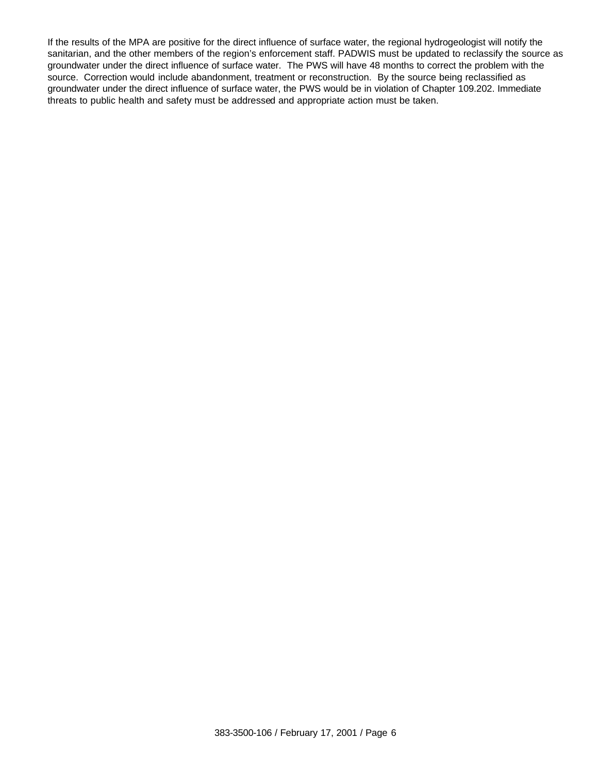If the results of the MPA are positive for the direct influence of surface water, the regional hydrogeologist will notify the sanitarian, and the other members of the region's enforcement staff. PADWIS must be updated to reclassify the source as groundwater under the direct influence of surface water. The PWS will have 48 months to correct the problem with the source. Correction would include abandonment, treatment or reconstruction. By the source being reclassified as groundwater under the direct influence of surface water, the PWS would be in violation of Chapter 109.202. Immediate threats to public health and safety must be addressed and appropriate action must be taken.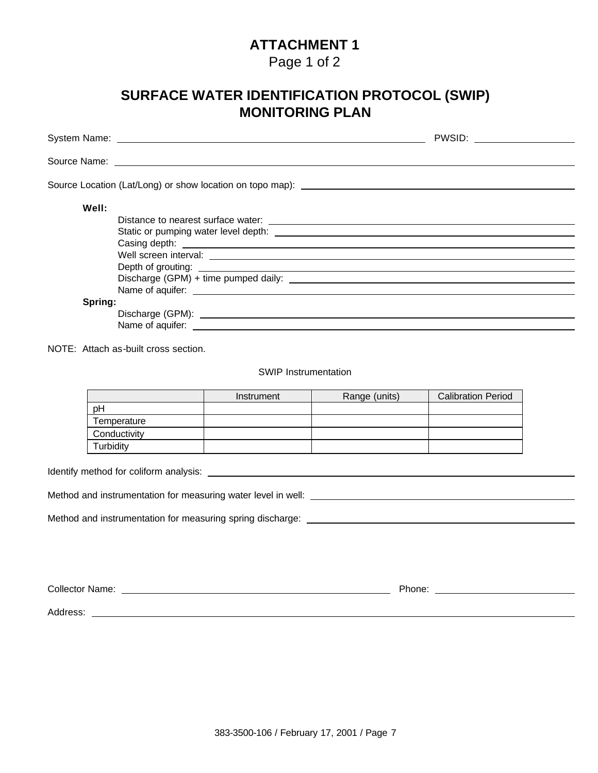### Page 1 of 2

# **SURFACE WATER IDENTIFICATION PROTOCOL (SWIP) MONITORING PLAN**

NOTE: Attach as-built cross section.

SWIP Instrumentation

|              | Instrument | Range (units) | <b>Calibration Period</b> |
|--------------|------------|---------------|---------------------------|
| pH           |            |               |                           |
| Temperature  |            |               |                           |
| Conductivity |            |               |                           |
| Turbidity    |            |               |                           |

Identify method for coliform analysis:

Method and instrumentation for measuring water level in well:

Method and instrumentation for measuring spring discharge:

| <b>Collector Name:</b> | Phone: |  |
|------------------------|--------|--|
|                        |        |  |
| Address:               |        |  |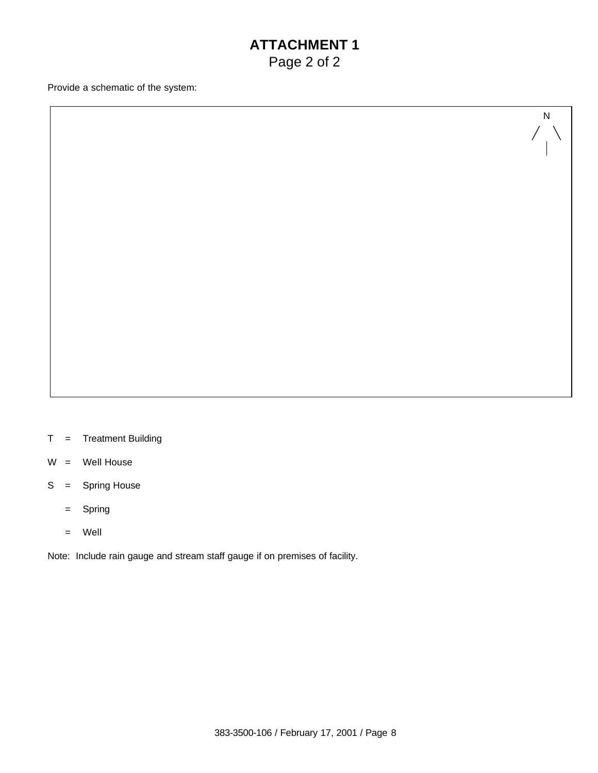## **ATTACHMENT 1** Page 2 of 2

N

Provide a schematic of the system:

- T = Treatment Building
- W = Well House
- S = Spring House
	- = Spring
	- = Well

Note: Include rain gauge and stream staff gauge if on premises of facility.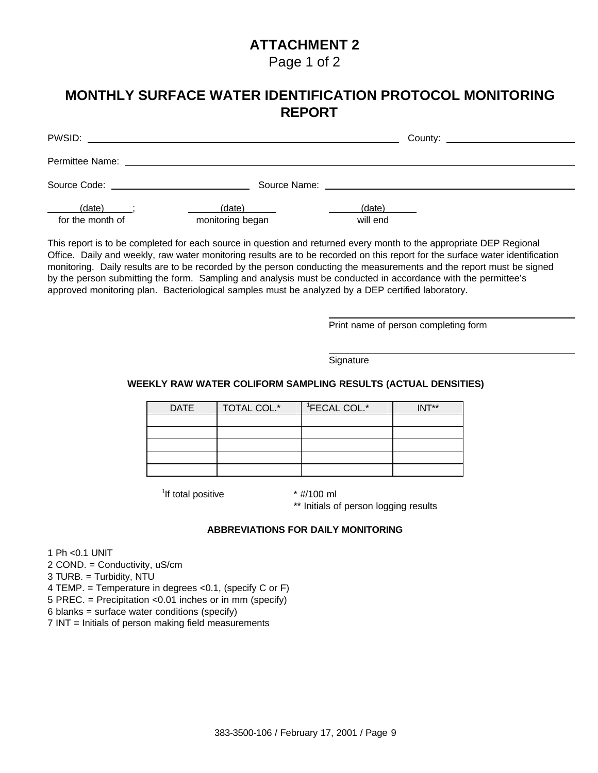Page 1 of 2

### **MONTHLY SURFACE WATER IDENTIFICATION PROTOCOL MONITORING REPORT**

| PWSID:                     |                                           |                    | County: ________________________ |
|----------------------------|-------------------------------------------|--------------------|----------------------------------|
|                            |                                           |                    |                                  |
|                            | Source Code: <u>_____________________</u> |                    |                                  |
| (date)<br>for the month of | (date)<br>monitoring began                | (date)<br>will end |                                  |

This report is to be completed for each source in question and returned every month to the appropriate DEP Regional Office. Daily and weekly, raw water monitoring results are to be recorded on this report for the surface water identification monitoring. Daily results are to be recorded by the person conducting the measurements and the report must be signed by the person submitting the form. Sampling and analysis must be conducted in accordance with the permittee's approved monitoring plan. Bacteriological samples must be analyzed by a DEP certified laboratory.

Print name of person completing form

**Signature** 

### **WEEKLY RAW WATER COLIFORM SAMPLING RESULTS (ACTUAL DENSITIES)**

| <b>DATE</b> | TOTAL COL.* | <sup>1</sup> FECAL COL.* | $INT**$ |
|-------------|-------------|--------------------------|---------|
|             |             |                          |         |
|             |             |                          |         |
|             |             |                          |         |
|             |             |                          |         |
|             |             |                          |         |

<sup>1</sup>If total positive  $*$  #/100 ml

\*\* Initials of person logging results

### **ABBREVIATIONS FOR DAILY MONITORING**

1 Ph <0.1 UNIT

2 COND. = Conductivity, uS/cm

3 TURB. = Turbidity, NTU

4 TEMP. = Temperature in degrees <0.1, (specify C or F)

5 PREC. = Precipitation <0.01 inches or in mm (specify)

6 blanks = surface water conditions (specify)

7 INT = Initials of person making field measurements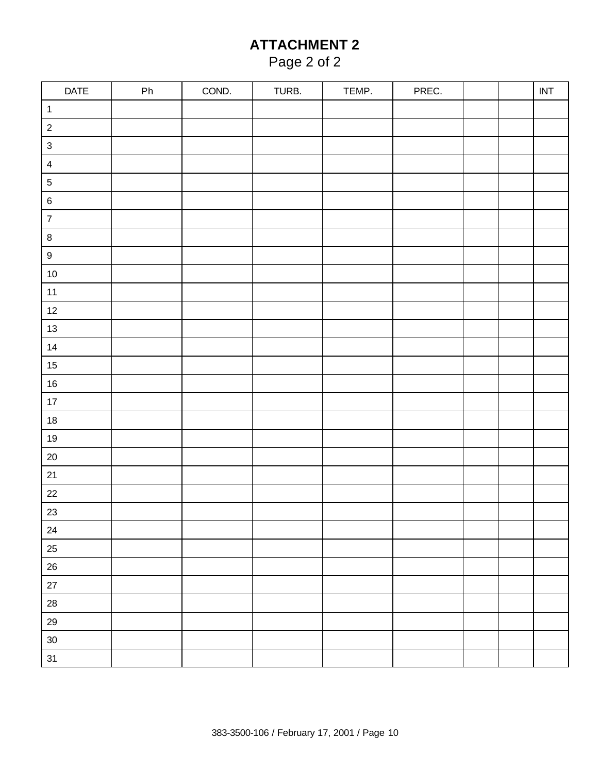# Page 2 of 2

| DATE             | ${\sf Ph}$ | COND. | TURB. | TEMP. | PREC. |  | $\ensuremath{\mathsf{INT}}$ |
|------------------|------------|-------|-------|-------|-------|--|-----------------------------|
| $\mathbf{1}$     |            |       |       |       |       |  |                             |
| $\sqrt{2}$       |            |       |       |       |       |  |                             |
| $\mathbf{3}$     |            |       |       |       |       |  |                             |
| $\overline{4}$   |            |       |       |       |       |  |                             |
| $\sqrt{5}$       |            |       |       |       |       |  |                             |
| $\,6\,$          |            |       |       |       |       |  |                             |
| $\overline{7}$   |            |       |       |       |       |  |                             |
| $\bf 8$          |            |       |       |       |       |  |                             |
| $\boldsymbol{9}$ |            |       |       |       |       |  |                             |
| $10\,$           |            |       |       |       |       |  |                             |
| $11$             |            |       |       |       |       |  |                             |
| $12$             |            |       |       |       |       |  |                             |
| 13               |            |       |       |       |       |  |                             |
| $14\,$           |            |       |       |       |       |  |                             |
| $15\,$           |            |       |       |       |       |  |                             |
| $16\,$           |            |       |       |       |       |  |                             |
| $17\,$           |            |       |       |       |       |  |                             |
| $18\,$           |            |       |       |       |       |  |                             |
| $19$             |            |       |       |       |       |  |                             |
| $20\,$           |            |       |       |       |       |  |                             |
| $21$             |            |       |       |       |       |  |                             |
| $22\,$           |            |       |       |       |       |  |                             |
| 23               |            |       |       |       |       |  |                             |
| 24               |            |       |       |       |       |  |                             |
| $25\,$           |            |       |       |       |       |  |                             |
| $26\,$           |            |       |       |       |       |  |                             |
| $27\,$           |            |       |       |       |       |  |                             |
| ${\bf 28}$       |            |       |       |       |       |  |                             |
| $29\,$           |            |       |       |       |       |  |                             |
| $30\,$           |            |       |       |       |       |  |                             |
| 31               |            |       |       |       |       |  |                             |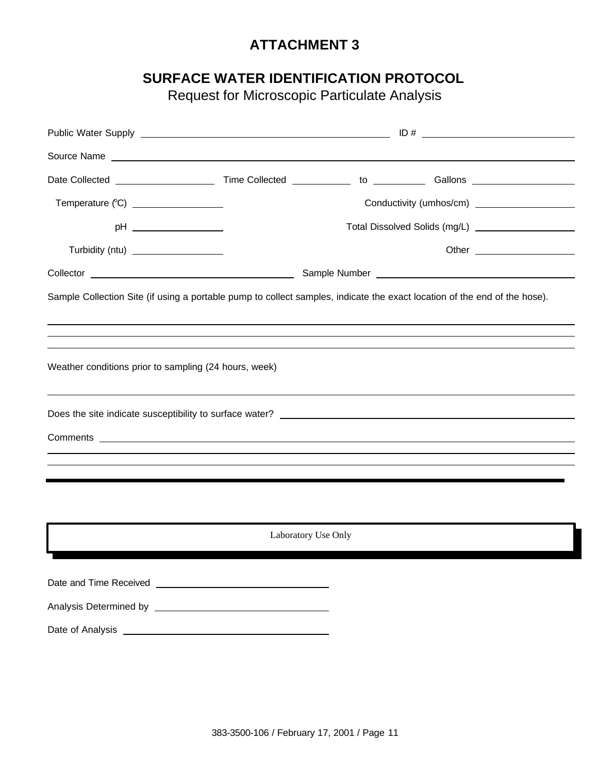### **SURFACE WATER IDENTIFICATION PROTOCOL**

Request for Microscopic Particulate Analysis

| Source Name experience and the set of the set of the set of the set of the set of the set of the set of the set of the set of the set of the set of the set of the set of the set of the set of the set of the set of the set            |                     |  |  |
|------------------------------------------------------------------------------------------------------------------------------------------------------------------------------------------------------------------------------------------|---------------------|--|--|
|                                                                                                                                                                                                                                          |                     |  |  |
| Temperature (°C) __________________                                                                                                                                                                                                      |                     |  |  |
|                                                                                                                                                                                                                                          |                     |  |  |
| Turbidity (ntu) ___________________                                                                                                                                                                                                      |                     |  |  |
|                                                                                                                                                                                                                                          |                     |  |  |
| Sample Collection Site (if using a portable pump to collect samples, indicate the exact location of the end of the hose).<br>,我们也不会有什么。""我们的人,我们也不会有什么?""我们的人,我们也不会有什么?""我们的人,我们也不会有什么?""我们的人,我们也不会有什么?""我们的人                            |                     |  |  |
|                                                                                                                                                                                                                                          |                     |  |  |
| Weather conditions prior to sampling (24 hours, week)                                                                                                                                                                                    |                     |  |  |
|                                                                                                                                                                                                                                          |                     |  |  |
| Comments <b>comments</b> <u>comments</u> and comments and comments are commented and comments and comments are considered and continued and continued and continued and continued and continued and continued and continued and continue |                     |  |  |
| ,我们也不会有什么。""我们的人,我们也不会有什么?""我们的人,我们也不会有什么?""我们的人,我们也不会有什么?""我们的人,我们也不会有什么?""我们的人                                                                                                                                                         |                     |  |  |
|                                                                                                                                                                                                                                          |                     |  |  |
|                                                                                                                                                                                                                                          |                     |  |  |
|                                                                                                                                                                                                                                          | Laboratory Use Only |  |  |
|                                                                                                                                                                                                                                          |                     |  |  |
|                                                                                                                                                                                                                                          |                     |  |  |
|                                                                                                                                                                                                                                          |                     |  |  |
|                                                                                                                                                                                                                                          |                     |  |  |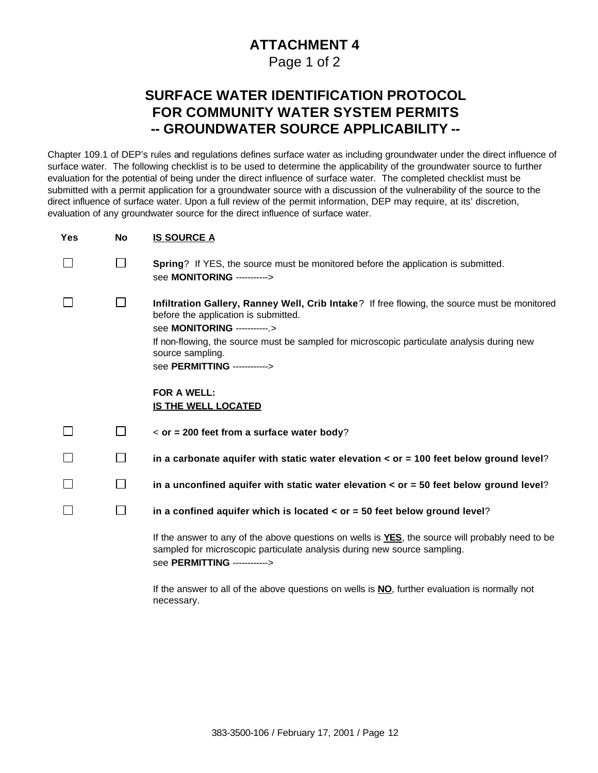Page 1 of 2

### **SURFACE WATER IDENTIFICATION PROTOCOL FOR COMMUNITY WATER SYSTEM PERMITS -- GROUNDWATER SOURCE APPLICABILITY --**

Chapter 109.1 of DEP's rules and regulations defines surface water as including groundwater under the direct influence of surface water. The following checklist is to be used to determine the applicability of the groundwater source to further evaluation for the potential of being under the direct influence of surface water. The completed checklist must be submitted with a permit application for a groundwater source with a discussion of the vulnerability of the source to the direct influence of surface water. Upon a full review of the permit information, DEP may require, at its' discretion, evaluation of any groundwater source for the direct influence of surface water.

| <b>Yes</b> | No           | <b>IS SOURCE A</b>                                                                                                                                                                                                                                                                                                      |
|------------|--------------|-------------------------------------------------------------------------------------------------------------------------------------------------------------------------------------------------------------------------------------------------------------------------------------------------------------------------|
|            | $\Box$       | Spring? If YES, the source must be monitored before the application is submitted.<br>see MONITORING ----------->                                                                                                                                                                                                        |
|            | $\Box$       | Infiltration Gallery, Ranney Well, Crib Intake? If free flowing, the source must be monitored<br>before the application is submitted.<br>see MONITORING ------------><br>If non-flowing, the source must be sampled for microscopic particulate analysis during new<br>source sampling.<br>see PERMITTING ------------> |
|            |              | <b>FOR A WELL:</b><br><b>IS THE WELL LOCATED</b>                                                                                                                                                                                                                                                                        |
|            | $\Box$       | $\epsilon$ or = 200 feet from a surface water body?                                                                                                                                                                                                                                                                     |
|            | $\mathbf{1}$ | in a carbonate aquifer with static water elevation $\lt$ or = 100 feet below ground level?                                                                                                                                                                                                                              |
|            | $\Box$       | in a unconfined aquifer with static water elevation $\lt$ or = 50 feet below ground level?                                                                                                                                                                                                                              |
|            | $\Box$       | in a confined aquifer which is located $\lt$ or = 50 feet below ground level?                                                                                                                                                                                                                                           |
|            |              | If the answer to any of the above questions on wells is <b>YES</b> , the source will probably need to be<br>sampled for microscopic particulate analysis during new source sampling.<br>see <b>PERMITTING</b> ------------>                                                                                             |
|            |              | If the answer to all of the above questions on wells is <b>NO</b> , further evaluation is normally not                                                                                                                                                                                                                  |

necessary.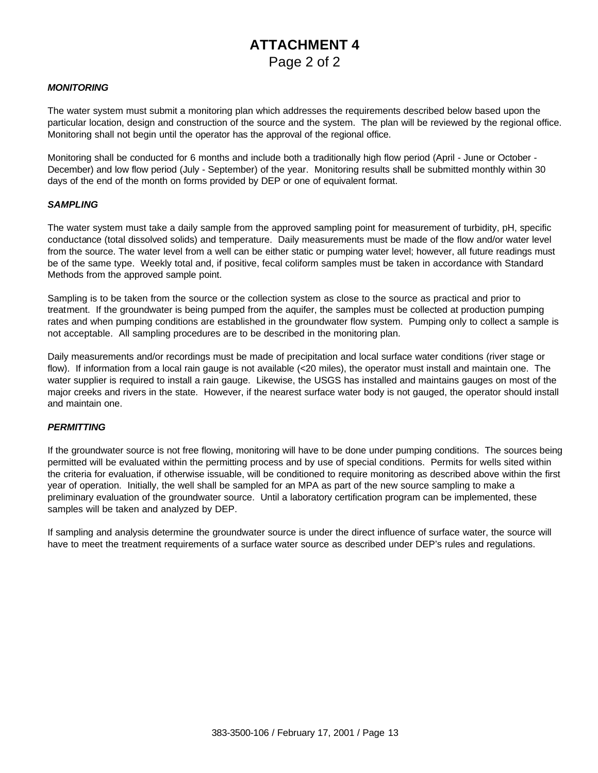### **ATTACHMENT 4** Page 2 of 2

#### *MONITORING*

The water system must submit a monitoring plan which addresses the requirements described below based upon the particular location, design and construction of the source and the system. The plan will be reviewed by the regional office. Monitoring shall not begin until the operator has the approval of the regional office.

Monitoring shall be conducted for 6 months and include both a traditionally high flow period (April - June or October - December) and low flow period (July - September) of the year. Monitoring results shall be submitted monthly within 30 days of the end of the month on forms provided by DEP or one of equivalent format.

#### *SAMPLING*

The water system must take a daily sample from the approved sampling point for measurement of turbidity, pH, specific conductance (total dissolved solids) and temperature. Daily measurements must be made of the flow and/or water level from the source. The water level from a well can be either static or pumping water level; however, all future readings must be of the same type. Weekly total and, if positive, fecal coliform samples must be taken in accordance with Standard Methods from the approved sample point.

Sampling is to be taken from the source or the collection system as close to the source as practical and prior to treatment. If the groundwater is being pumped from the aquifer, the samples must be collected at production pumping rates and when pumping conditions are established in the groundwater flow system. Pumping only to collect a sample is not acceptable. All sampling procedures are to be described in the monitoring plan.

Daily measurements and/or recordings must be made of precipitation and local surface water conditions (river stage or flow). If information from a local rain gauge is not available (<20 miles), the operator must install and maintain one. The water supplier is required to install a rain gauge. Likewise, the USGS has installed and maintains gauges on most of the major creeks and rivers in the state. However, if the nearest surface water body is not gauged, the operator should install and maintain one.

#### *PERMITTING*

If the groundwater source is not free flowing, monitoring will have to be done under pumping conditions. The sources being permitted will be evaluated within the permitting process and by use of special conditions. Permits for wells sited within the criteria for evaluation, if otherwise issuable, will be conditioned to require monitoring as described above within the first year of operation. Initially, the well shall be sampled for an MPA as part of the new source sampling to make a preliminary evaluation of the groundwater source. Until a laboratory certification program can be implemented, these samples will be taken and analyzed by DEP.

If sampling and analysis determine the groundwater source is under the direct influence of surface water, the source will have to meet the treatment requirements of a surface water source as described under DEP's rules and regulations.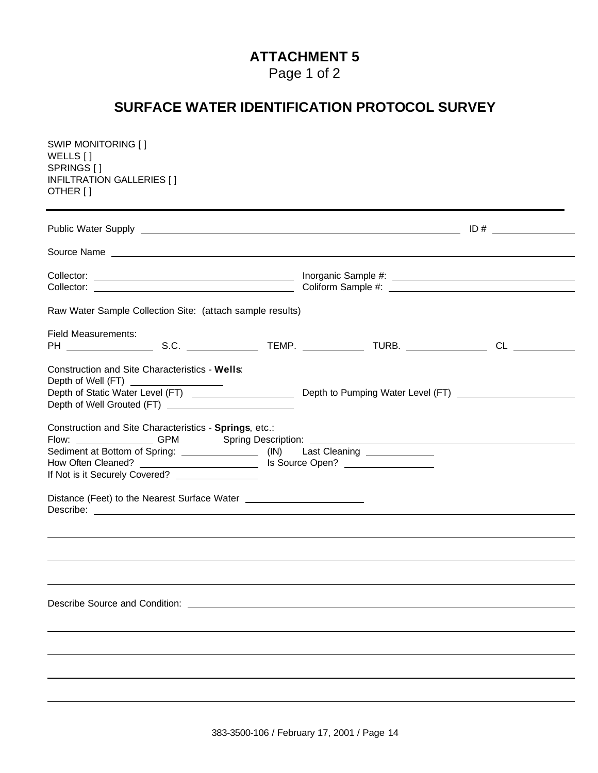Page 1 of 2

## **SURFACE WATER IDENTIFICATION PROTOCOL SURVEY**

| SWIP MONITORING []<br>WELLS []<br>SPRINGS []<br>INFILTRATION GALLERIES [ ]<br>OTHER [ ]                                                                                                                                                                                           |  |
|-----------------------------------------------------------------------------------------------------------------------------------------------------------------------------------------------------------------------------------------------------------------------------------|--|
|                                                                                                                                                                                                                                                                                   |  |
|                                                                                                                                                                                                                                                                                   |  |
|                                                                                                                                                                                                                                                                                   |  |
| Raw Water Sample Collection Site: (attach sample results)                                                                                                                                                                                                                         |  |
| <b>Field Measurements:</b>                                                                                                                                                                                                                                                        |  |
| Construction and Site Characteristics - Wells:<br>Depth of Well (FT) <u>_________________</u>                                                                                                                                                                                     |  |
| Construction and Site Characteristics - Springs, etc.:<br>Flow: ________________GPM Spring Description: __________________________________<br>Sediment at Bottom of Spring: ________________(IN) Last Cleaning _______________<br>If Not is it Securely Covered? ________________ |  |
| Distance (Feet) to the Nearest Surface Water ___________________________________                                                                                                                                                                                                  |  |
|                                                                                                                                                                                                                                                                                   |  |
|                                                                                                                                                                                                                                                                                   |  |
| Describe Source and Condition: Network and Source and Source and Condition:                                                                                                                                                                                                       |  |
|                                                                                                                                                                                                                                                                                   |  |
|                                                                                                                                                                                                                                                                                   |  |
|                                                                                                                                                                                                                                                                                   |  |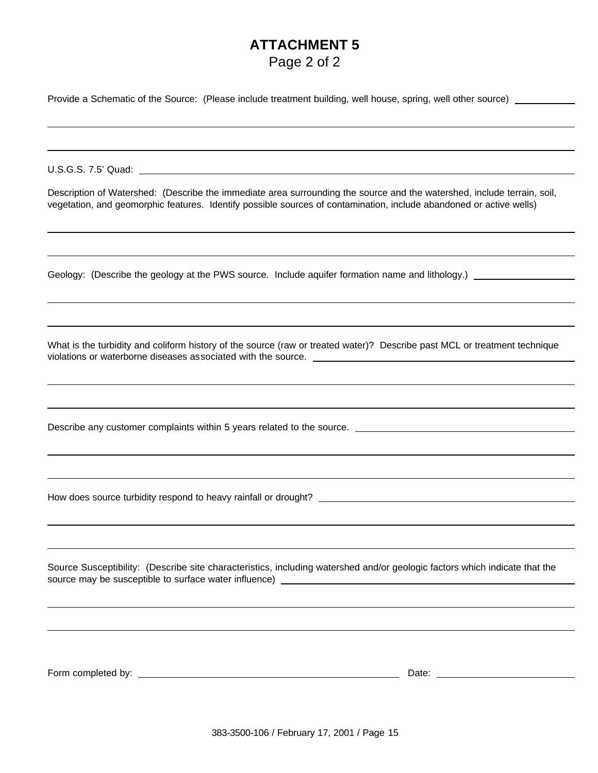| Page 2 of 2 |  |  |
|-------------|--|--|
|             |  |  |

| Provide a Schematic of the Source: (Please include treatment building, well house, spring, well other source) |  |
|---------------------------------------------------------------------------------------------------------------|--|
|                                                                                                               |  |

U.S.G.S. 7.5' Quad:

Description of Watershed: (Describe the immediate area surrounding the source and the watershed, include terrain, soil, vegetation, and geomorphic features. Identify possible sources of contamination, include abandoned or active wells)

Geology: (Describe the geology at the PWS source. Include aquifer formation name and lithology.)

What is the turbidity and coliform history of the source (raw or treated water)? Describe past MCL or treatment technique violations or waterborne diseases associated with the source.

Describe any customer complaints within 5 years related to the source.

How does source turbidity respond to heavy rainfall or drought?

Source Susceptibility: (Describe site characteristics, including watershed and/or geologic factors which indicate that the source may be susceptible to surface water influence)

Form completed by: Date: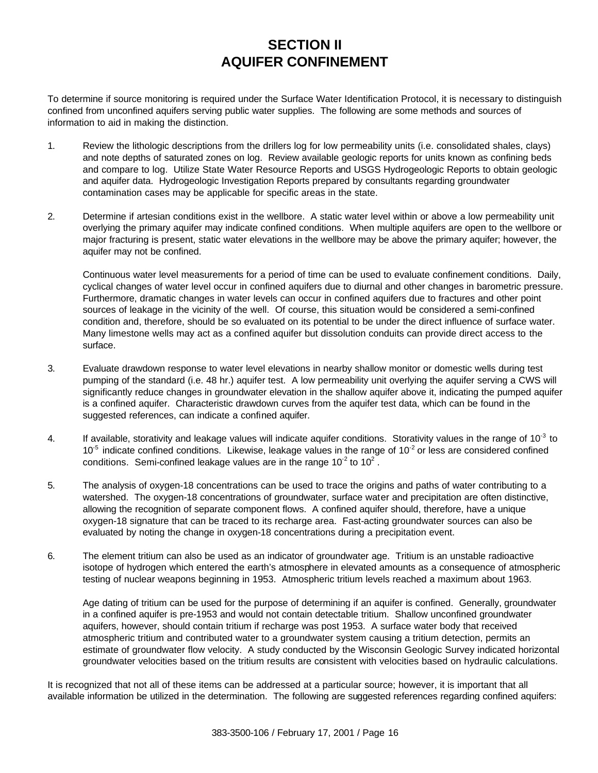### **SECTION II AQUIFER CONFINEMENT**

To determine if source monitoring is required under the Surface Water Identification Protocol, it is necessary to distinguish confined from unconfined aquifers serving public water supplies. The following are some methods and sources of information to aid in making the distinction.

- 1. Review the lithologic descriptions from the drillers log for low permeability units (i.e. consolidated shales, clays) and note depths of saturated zones on log. Review available geologic reports for units known as confining beds and compare to log. Utilize State Water Resource Reports and USGS Hydrogeologic Reports to obtain geologic and aquifer data. Hydrogeologic Investigation Reports prepared by consultants regarding groundwater contamination cases may be applicable for specific areas in the state.
- 2. Determine if artesian conditions exist in the wellbore. A static water level within or above a low permeability unit overlying the primary aquifer may indicate confined conditions. When multiple aquifers are open to the wellbore or major fracturing is present, static water elevations in the wellbore may be above the primary aquifer; however, the aquifer may not be confined.

Continuous water level measurements for a period of time can be used to evaluate confinement conditions. Daily, cyclical changes of water level occur in confined aquifers due to diurnal and other changes in barometric pressure. Furthermore, dramatic changes in water levels can occur in confined aquifers due to fractures and other point sources of leakage in the vicinity of the well. Of course, this situation would be considered a semi-confined condition and, therefore, should be so evaluated on its potential to be under the direct influence of surface water. Many limestone wells may act as a confined aquifer but dissolution conduits can provide direct access to the surface.

- 3. Evaluate drawdown response to water level elevations in nearby shallow monitor or domestic wells during test pumping of the standard (i.e. 48 hr.) aquifer test. A low permeability unit overlying the aquifer serving a CWS will significantly reduce changes in groundwater elevation in the shallow aquifer above it, indicating the pumped aquifer is a confined aquifer. Characteristic drawdown curves from the aquifer test data, which can be found in the suggested references, can indicate a confined aquifer.
- 4. If available, storativity and leakage values will indicate aquifer conditions. Storativity values in the range of  $10^{-3}$  to  $10^{-5}$  indicate confined conditions. Likewise, leakage values in the range of  $10^{-2}$  or less are considered confined conditions. Semi-confined leakage values are in the range 10<sup>-2</sup> to 10<sup>2</sup>.
- 5. The analysis of oxygen-18 concentrations can be used to trace the origins and paths of water contributing to a watershed. The oxygen-18 concentrations of groundwater, surface water and precipitation are often distinctive, allowing the recognition of separate component flows. A confined aquifer should, therefore, have a unique oxygen-18 signature that can be traced to its recharge area. Fast-acting groundwater sources can also be evaluated by noting the change in oxygen-18 concentrations during a precipitation event.
- 6. The element tritium can also be used as an indicator of groundwater age. Tritium is an unstable radioactive isotope of hydrogen which entered the earth's atmosphere in elevated amounts as a consequence of atmospheric testing of nuclear weapons beginning in 1953. Atmospheric tritium levels reached a maximum about 1963.

Age dating of tritium can be used for the purpose of determining if an aquifer is confined. Generally, groundwater in a confined aquifer is pre-1953 and would not contain detectable tritium. Shallow unconfined groundwater aquifers, however, should contain tritium if recharge was post 1953. A surface water body that received atmospheric tritium and contributed water to a groundwater system causing a tritium detection, permits an estimate of groundwater flow velocity. A study conducted by the Wisconsin Geologic Survey indicated horizontal groundwater velocities based on the tritium results are consistent with velocities based on hydraulic calculations.

It is recognized that not all of these items can be addressed at a particular source; however, it is important that all available information be utilized in the determination. The following are suggested references regarding confined aquifers: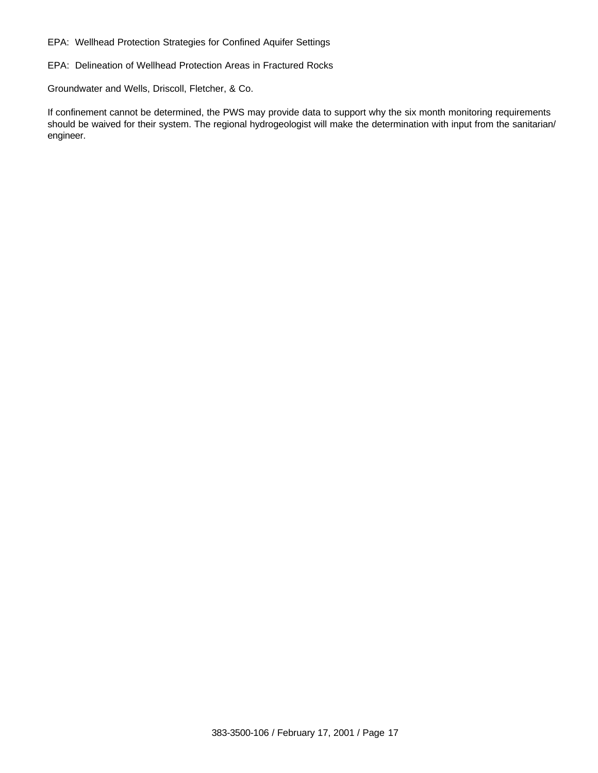EPA: Wellhead Protection Strategies for Confined Aquifer Settings

EPA: Delineation of Wellhead Protection Areas in Fractured Rocks

Groundwater and Wells, Driscoll, Fletcher, & Co.

If confinement cannot be determined, the PWS may provide data to support why the six month monitoring requirements should be waived for their system. The regional hydrogeologist will make the determination with input from the sanitarian/ engineer.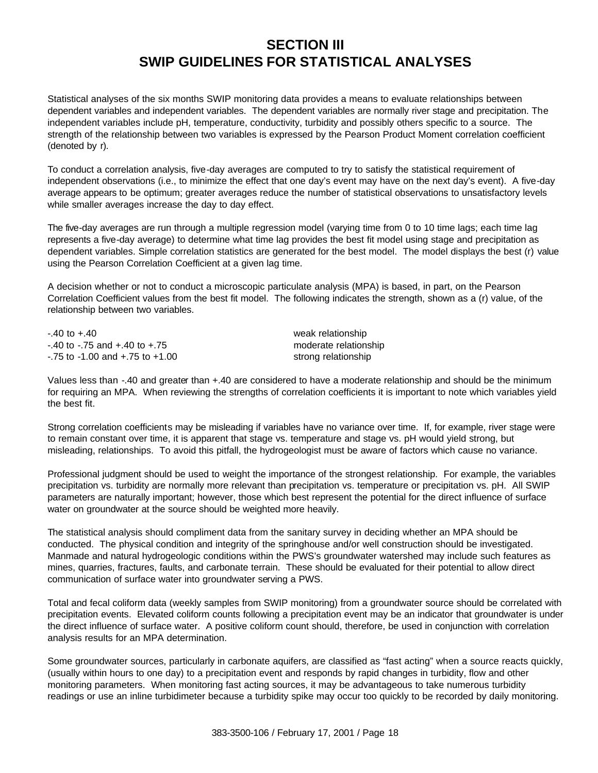### **SECTION III SWIP GUIDELINES FOR STATISTICAL ANALYSES**

Statistical analyses of the six months SWIP monitoring data provides a means to evaluate relationships between dependent variables and independent variables. The dependent variables are normally river stage and precipitation. The independent variables include pH, temperature, conductivity, turbidity and possibly others specific to a source. The strength of the relationship between two variables is expressed by the Pearson Product Moment correlation coefficient (denoted by r).

To conduct a correlation analysis, five-day averages are computed to try to satisfy the statistical requirement of independent observations (i.e., to minimize the effect that one day's event may have on the next day's event). A five-day average appears to be optimum; greater averages reduce the number of statistical observations to unsatisfactory levels while smaller averages increase the day to day effect.

The five-day averages are run through a multiple regression model (varying time from 0 to 10 time lags; each time lag represents a five-day average) to determine what time lag provides the best fit model using stage and precipitation as dependent variables. Simple correlation statistics are generated for the best model. The model displays the best (r) value using the Pearson Correlation Coefficient at a given lag time.

A decision whether or not to conduct a microscopic particulate analysis (MPA) is based, in part, on the Pearson Correlation Coefficient values from the best fit model. The following indicates the strength, shown as a (r) value, of the relationship between two variables.

-.40 to +.40 weak relationship -.40 to -.75 and +.40 to +.75 moderate relationship -.75 to -1.00 and +.75 to +1.00 strong relationship

Values less than -.40 and greater than +.40 are considered to have a moderate relationship and should be the minimum for requiring an MPA. When reviewing the strengths of correlation coefficients it is important to note which variables yield the best fit.

Strong correlation coefficients may be misleading if variables have no variance over time. If, for example, river stage were to remain constant over time, it is apparent that stage vs. temperature and stage vs. pH would yield strong, but misleading, relationships. To avoid this pitfall, the hydrogeologist must be aware of factors which cause no variance.

Professional judgment should be used to weight the importance of the strongest relationship. For example, the variables precipitation vs. turbidity are normally more relevant than precipitation vs. temperature or precipitation vs. pH. All SWIP parameters are naturally important; however, those which best represent the potential for the direct influence of surface water on groundwater at the source should be weighted more heavily.

The statistical analysis should compliment data from the sanitary survey in deciding whether an MPA should be conducted. The physical condition and integrity of the springhouse and/or well construction should be investigated. Manmade and natural hydrogeologic conditions within the PWS's groundwater watershed may include such features as mines, quarries, fractures, faults, and carbonate terrain. These should be evaluated for their potential to allow direct communication of surface water into groundwater serving a PWS.

Total and fecal coliform data (weekly samples from SWIP monitoring) from a groundwater source should be correlated with precipitation events. Elevated coliform counts following a precipitation event may be an indicator that groundwater is under the direct influence of surface water. A positive coliform count should, therefore, be used in conjunction with correlation analysis results for an MPA determination.

Some groundwater sources, particularly in carbonate aquifers, are classified as "fast acting" when a source reacts quickly, (usually within hours to one day) to a precipitation event and responds by rapid changes in turbidity, flow and other monitoring parameters. When monitoring fast acting sources, it may be advantageous to take numerous turbidity readings or use an inline turbidimeter because a turbidity spike may occur too quickly to be recorded by daily monitoring.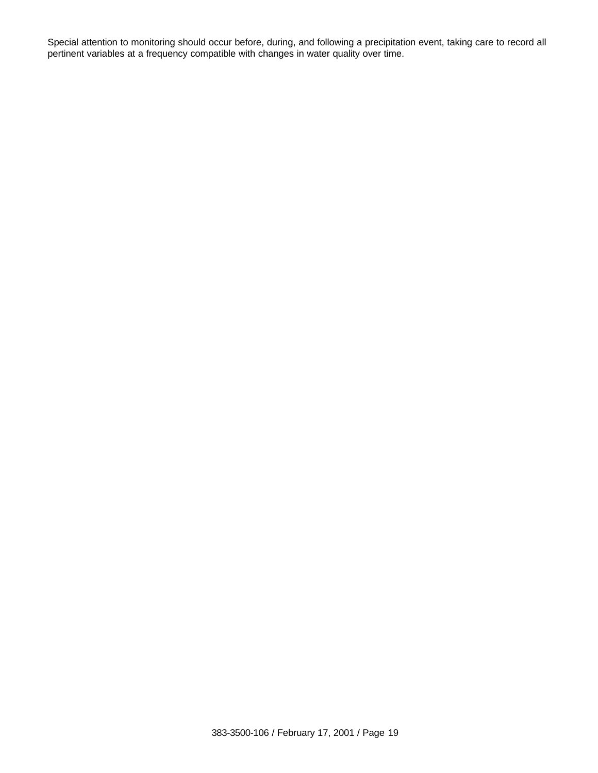Special attention to monitoring should occur before, during, and following a precipitation event, taking care to record all pertinent variables at a frequency compatible with changes in water quality over time.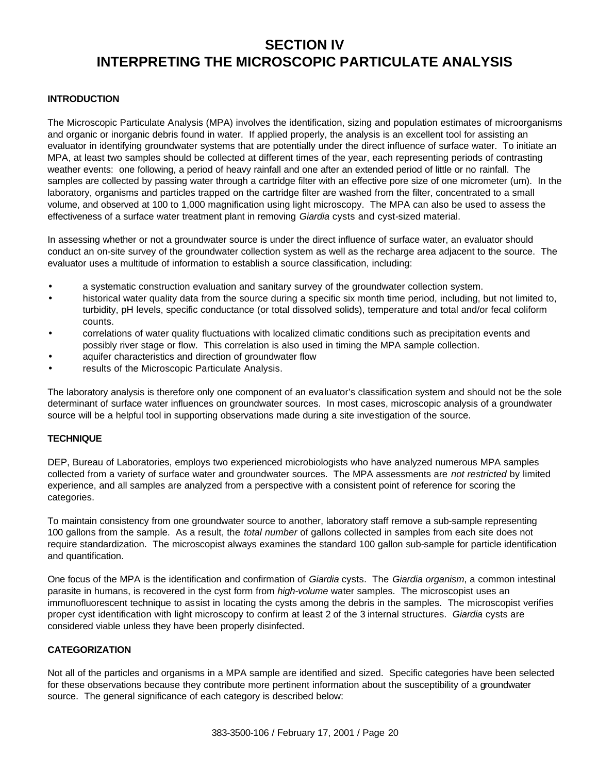### **SECTION IV INTERPRETING THE MICROSCOPIC PARTICULATE ANALYSIS**

### **INTRODUCTION**

The Microscopic Particulate Analysis (MPA) involves the identification, sizing and population estimates of microorganisms and organic or inorganic debris found in water. If applied properly, the analysis is an excellent tool for assisting an evaluator in identifying groundwater systems that are potentially under the direct influence of surface water. To initiate an MPA, at least two samples should be collected at different times of the year, each representing periods of contrasting weather events: one following, a period of heavy rainfall and one after an extended period of little or no rainfall. The samples are collected by passing water through a cartridge filter with an effective pore size of one micrometer (um). In the laboratory, organisms and particles trapped on the cartridge filter are washed from the filter, concentrated to a small volume, and observed at 100 to 1,000 magnification using light microscopy. The MPA can also be used to assess the effectiveness of a surface water treatment plant in removing *Giardia* cysts and cyst-sized material.

In assessing whether or not a groundwater source is under the direct influence of surface water, an evaluator should conduct an on-site survey of the groundwater collection system as well as the recharge area adjacent to the source. The evaluator uses a multitude of information to establish a source classification, including:

- a systematic construction evaluation and sanitary survey of the groundwater collection system.
- historical water quality data from the source during a specific six month time period, including, but not limited to, turbidity, pH levels, specific conductance (or total dissolved solids), temperature and total and/or fecal coliform counts.
- correlations of water quality fluctuations with localized climatic conditions such as precipitation events and possibly river stage or flow. This correlation is also used in timing the MPA sample collection.
- aquifer characteristics and direction of groundwater flow
- results of the Microscopic Particulate Analysis.

The laboratory analysis is therefore only one component of an evaluator's classification system and should not be the sole determinant of surface water influences on groundwater sources. In most cases, microscopic analysis of a groundwater source will be a helpful tool in supporting observations made during a site investigation of the source.

#### **TECHNIQUE**

DEP, Bureau of Laboratories, employs two experienced microbiologists who have analyzed numerous MPA samples collected from a variety of surface water and groundwater sources. The MPA assessments are *not restricted* by limited experience, and all samples are analyzed from a perspective with a consistent point of reference for scoring the categories.

To maintain consistency from one groundwater source to another, laboratory staff remove a sub-sample representing 100 gallons from the sample. As a result, the *total number* of gallons collected in samples from each site does not require standardization. The microscopist always examines the standard 100 gallon sub-sample for particle identification and quantification.

One focus of the MPA is the identification and confirmation of *Giardia* cysts. The *Giardia organism*, a common intestinal parasite in humans, is recovered in the cyst form from *high-volume* water samples. The microscopist uses an immunofluorescent technique to assist in locating the cysts among the debris in the samples. The microscopist verifies proper cyst identification with light microscopy to confirm at least 2 of the 3 internal structures. *Giardia* cysts are considered viable unless they have been properly disinfected.

#### **CATEGORIZATION**

Not all of the particles and organisms in a MPA sample are identified and sized. Specific categories have been selected for these observations because they contribute more pertinent information about the susceptibility of a groundwater source. The general significance of each category is described below: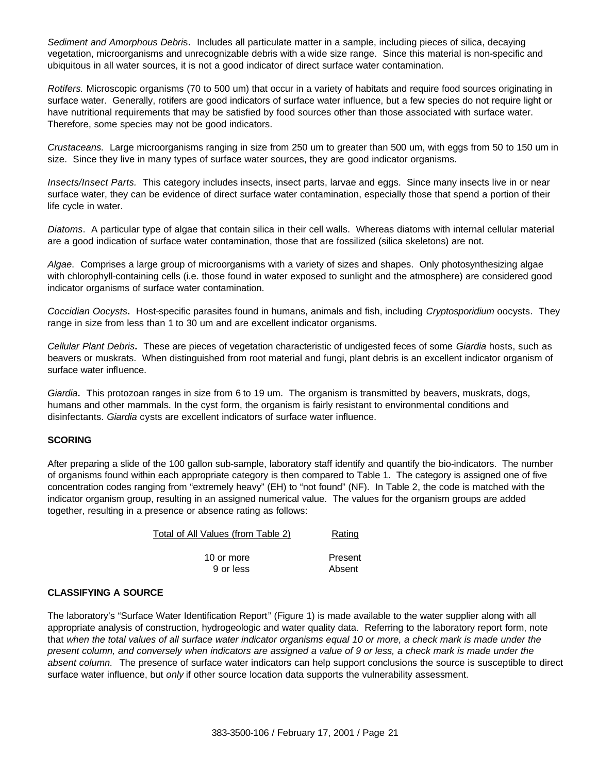*Sediment and Amorphous Debri*s**.** Includes all particulate matter in a sample, including pieces of silica, decaying vegetation, microorganisms and unrecognizable debris with a wide size range. Since this material is non-specific and ubiquitous in all water sources, it is not a good indicator of direct surface water contamination.

*Rotifers.* Microscopic organisms (70 to 500 um) that occur in a variety of habitats and require food sources originating in surface water. Generally, rotifers are good indicators of surface water influence, but a few species do not require light or have nutritional requirements that may be satisfied by food sources other than those associated with surface water. Therefore, some species may not be good indicators.

*Crustaceans.* Large microorganisms ranging in size from 250 um to greater than 500 um, with eggs from 50 to 150 um in size. Since they live in many types of surface water sources, they are good indicator organisms.

*Insects/Insect Parts.* This category includes insects, insect parts, larvae and eggs. Since many insects live in or near surface water, they can be evidence of direct surface water contamination, especially those that spend a portion of their life cycle in water.

*Diatoms*. A particular type of algae that contain silica in their cell walls. Whereas diatoms with internal cellular material are a good indication of surface water contamination, those that are fossilized (silica skeletons) are not.

*Algae*. Comprises a large group of microorganisms with a variety of sizes and shapes. Only photosynthesizing algae with chlorophyll-containing cells (i.e. those found in water exposed to sunlight and the atmosphere) are considered good indicator organisms of surface water contamination.

*Coccidian Oocysts***.** Host-specific parasites found in humans, animals and fish, including *Cryptosporidium* oocysts. They range in size from less than 1 to 30 um and are excellent indicator organisms.

*Cellular Plant Debris***.** These are pieces of vegetation characteristic of undigested feces of some *Giardia* hosts, such as beavers or muskrats. When distinguished from root material and fungi, plant debris is an excellent indicator organism of surface water influence.

*Giardia***.** This protozoan ranges in size from 6 to 19 um. The organism is transmitted by beavers, muskrats, dogs, humans and other mammals. In the cyst form, the organism is fairly resistant to environmental conditions and disinfectants. *Giardia* cysts are excellent indicators of surface water influence.

### **SCORING**

After preparing a slide of the 100 gallon sub-sample, laboratory staff identify and quantify the bio-indicators. The number of organisms found within each appropriate category is then compared to Table 1. The category is assigned one of five concentration codes ranging from "extremely heavy" (EH) to "not found" (NF). In Table 2, the code is matched with the indicator organism group, resulting in an assigned numerical value. The values for the organism groups are added together, resulting in a presence or absence rating as follows:

| Total of All Values (from Table 2) | Rating            |
|------------------------------------|-------------------|
| 10 or more<br>9 or less            | Present<br>Absent |
|                                    |                   |

### **CLASSIFYING A SOURCE**

The laboratory's "Surface Water Identification Report" (Figure 1) is made available to the water supplier along with all appropriate analysis of construction, hydrogeologic and water quality data. Referring to the laboratory report form, note that *when the total values of all surface water indicator organisms equal 10 or more, a check mark is made under the present column, and conversely when indicators are assigned a value of 9 or less, a check mark is made under the absent column.* The presence of surface water indicators can help support conclusions the source is susceptible to direct surface water influence, but *only* if other source location data supports the vulnerability assessment.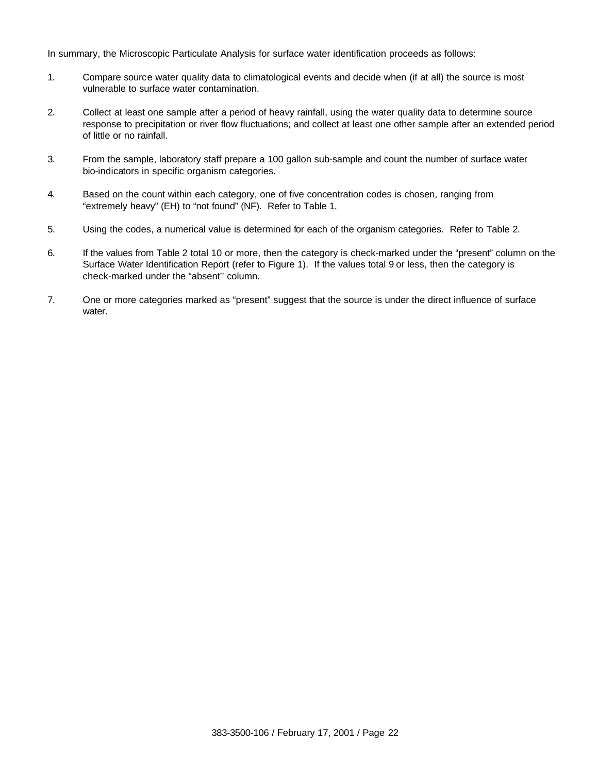In summary, the Microscopic Particulate Analysis for surface water identification proceeds as follows:

- 1. Compare source water quality data to climatological events and decide when (if at all) the source is most vulnerable to surface water contamination.
- 2. Collect at least one sample after a period of heavy rainfall, using the water quality data to determine source response to precipitation or river flow fluctuations; and collect at least one other sample after an extended period of little or no rainfall.
- 3. From the sample, laboratory staff prepare a 100 gallon sub-sample and count the number of surface water bio-indicators in specific organism categories.
- 4. Based on the count within each category, one of five concentration codes is chosen, ranging from "extremely heavy" (EH) to "not found" (NF). Refer to Table 1.
- 5. Using the codes, a numerical value is determined for each of the organism categories. Refer to Table 2.
- 6. If the values from Table 2 total 10 or more, then the category is check-marked under the "present" column on the Surface Water Identification Report (refer to Figure 1). If the values total 9 or less, then the category is check-marked under the "absent'' column.
- 7. One or more categories marked as "present" suggest that the source is under the direct influence of surface water.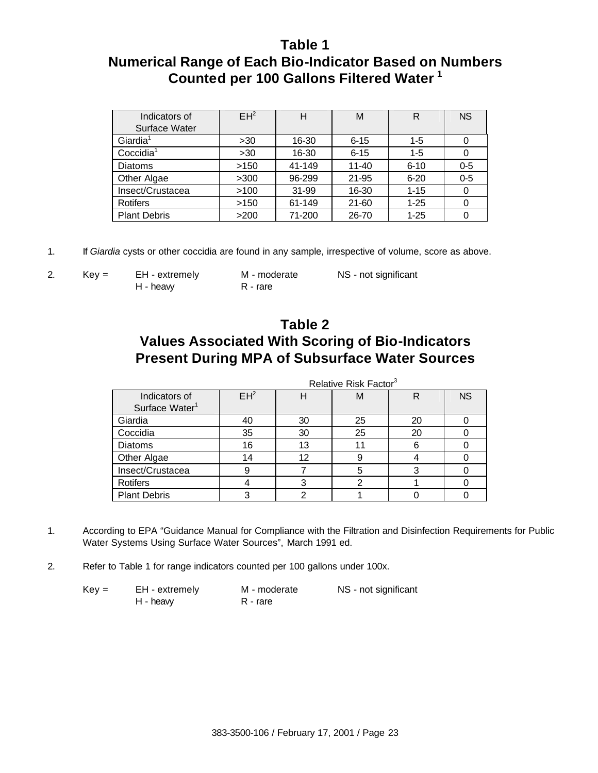### **Table 1 Numerical Range of Each Bio-Indicator Based on Numbers Counted per 100 Gallons Filtered Water <sup>1</sup>**

| Indicators of<br>Surface Water | $EH^2$ | Н      | М         | R        | <b>NS</b> |
|--------------------------------|--------|--------|-----------|----------|-----------|
| Giardia <sup>1</sup>           | >30    | 16-30  | $6 - 15$  | $1 - 5$  |           |
| Coccidia <sup>1</sup>          | >30    | 16-30  | $6 - 15$  | $1 - 5$  |           |
| <b>Diatoms</b>                 | >150   | 41-149 | $11 - 40$ | $6 - 10$ | $0 - 5$   |
| Other Algae                    | >300   | 96-299 | 21-95     | $6 - 20$ | $0 - 5$   |
| Insect/Crustacea               | >100   | 31-99  | 16-30     | $1 - 15$ | 0         |
| <b>Rotifers</b>                | >150   | 61-149 | $21 - 60$ | $1 - 25$ |           |
| <b>Plant Debris</b>            | >200   | 71-200 | 26-70     | $1 - 25$ |           |

1. If *Giardia* cysts or other coccidia are found in any sample, irrespective of volume, score as above.

H - heavy R - rare

2. Key = EH - extremely M - moderate NS - not significant

### **Table 2 Values Associated With Scoring of Bio-Indicators Present During MPA of Subsurface Water Sources**

|                            | Relative Risk Factor <sup>3</sup> |    |    |    |           |
|----------------------------|-----------------------------------|----|----|----|-----------|
| Indicators of              | EH <sup>2</sup>                   | н  | м  | R  | <b>NS</b> |
| Surface Water <sup>1</sup> |                                   |    |    |    |           |
| Giardia                    | 40                                | 30 | 25 | 20 |           |
| Coccidia                   | 35                                | 30 | 25 | 20 |           |
| <b>Diatoms</b>             | 16                                | 13 |    | 6  |           |
| Other Algae                | 14                                | 12 |    |    |           |
| Insect/Crustacea           | 9                                 |    | 5  | 3  |           |
| <b>Rotifers</b>            |                                   | 3  | ◠  |    |           |
| <b>Plant Debris</b>        | っ                                 | っ  |    |    |           |

- 1. According to EPA "Guidance Manual for Compliance with the Filtration and Disinfection Requirements for Public Water Systems Using Surface Water Sources", March 1991 ed.
- 2. Refer to Table 1 for range indicators counted per 100 gallons under 100x.

| $Key =$ | EH - extremely | M - moderate | NS - not significant |
|---------|----------------|--------------|----------------------|
|         | H - heavy      | R - rare     |                      |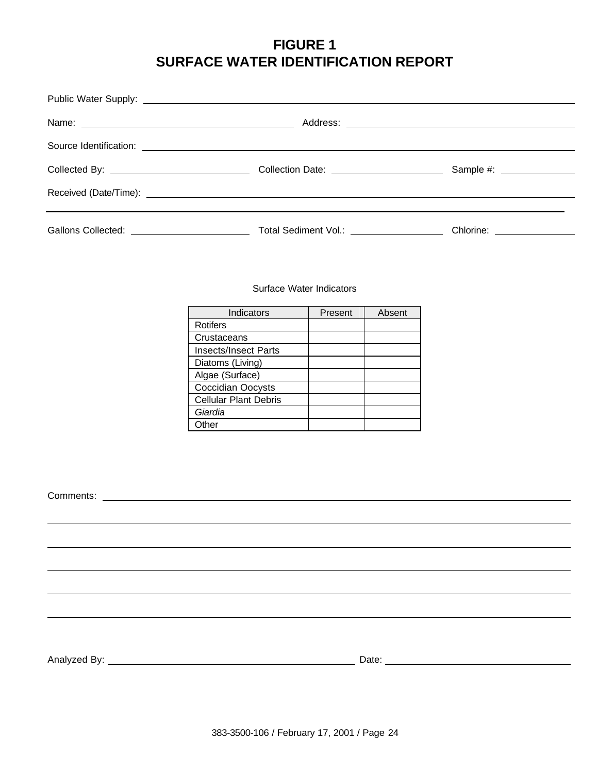### **FIGURE 1 SURFACE WATER IDENTIFICATION REPORT**

| Gallons Collected: <u>Collected:</u> Collection Collection Collection Collection Collection Collection Collection Collection Collection Collection Collection Collection Collection Collection Collection Collection Collection Col | Chlorine: <u>________________</u> |
|-------------------------------------------------------------------------------------------------------------------------------------------------------------------------------------------------------------------------------------|-----------------------------------|

#### Surface Water Indicators

| Indicators                   | Present | Absent |
|------------------------------|---------|--------|
| <b>Rotifers</b>              |         |        |
| Crustaceans                  |         |        |
| <b>Insects/Insect Parts</b>  |         |        |
| Diatoms (Living)             |         |        |
| Algae (Surface)              |         |        |
| <b>Coccidian Oocysts</b>     |         |        |
| <b>Cellular Plant Debris</b> |         |        |
| Giardia                      |         |        |
| <b>Dther</b>                 |         |        |

Comments:

Analyzed By: Date: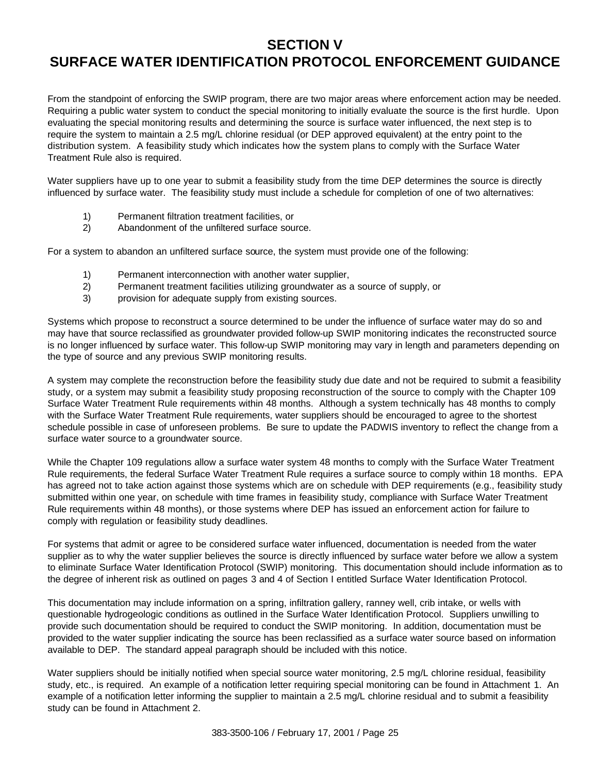### **SECTION V**

### **SURFACE WATER IDENTIFICATION PROTOCOL ENFORCEMENT GUIDANCE**

From the standpoint of enforcing the SWIP program, there are two major areas where enforcement action may be needed. Requiring a public water system to conduct the special monitoring to initially evaluate the source is the first hurdle. Upon evaluating the special monitoring results and determining the source is surface water influenced, the next step is to require the system to maintain a 2.5 mg/L chlorine residual (or DEP approved equivalent) at the entry point to the distribution system. A feasibility study which indicates how the system plans to comply with the Surface Water Treatment Rule also is required.

Water suppliers have up to one year to submit a feasibility study from the time DEP determines the source is directly influenced by surface water. The feasibility study must include a schedule for completion of one of two alternatives:

- 1) Permanent filtration treatment facilities, or
- 2) Abandonment of the unfiltered surface source.

For a system to abandon an unfiltered surface source, the system must provide one of the following:

- 1) Permanent interconnection with another water supplier,
- 2) Permanent treatment facilities utilizing groundwater as a source of supply, or
- 3) provision for adequate supply from existing sources.

Systems which propose to reconstruct a source determined to be under the influence of surface water may do so and may have that source reclassified as groundwater provided follow-up SWIP monitoring indicates the reconstructed source is no longer influenced by surface water. This follow-up SWIP monitoring may vary in length and parameters depending on the type of source and any previous SWIP monitoring results.

A system may complete the reconstruction before the feasibility study due date and not be required to submit a feasibility study, or a system may submit a feasibility study proposing reconstruction of the source to comply with the Chapter 109 Surface Water Treatment Rule requirements within 48 months. Although a system technically has 48 months to comply with the Surface Water Treatment Rule requirements, water suppliers should be encouraged to agree to the shortest schedule possible in case of unforeseen problems. Be sure to update the PADWIS inventory to reflect the change from a surface water source to a groundwater source.

While the Chapter 109 regulations allow a surface water system 48 months to comply with the Surface Water Treatment Rule requirements, the federal Surface Water Treatment Rule requires a surface source to comply within 18 months. EPA has agreed not to take action against those systems which are on schedule with DEP requirements (e.g., feasibility study submitted within one year, on schedule with time frames in feasibility study, compliance with Surface Water Treatment Rule requirements within 48 months), or those systems where DEP has issued an enforcement action for failure to comply with regulation or feasibility study deadlines.

For systems that admit or agree to be considered surface water influenced, documentation is needed from the water supplier as to why the water supplier believes the source is directly influenced by surface water before we allow a system to eliminate Surface Water Identification Protocol (SWIP) monitoring. This documentation should include information as to the degree of inherent risk as outlined on pages 3 and 4 of Section I entitled Surface Water Identification Protocol.

This documentation may include information on a spring, infiltration gallery, ranney well, crib intake, or wells with questionable hydrogeologic conditions as outlined in the Surface Water Identification Protocol. Suppliers unwilling to provide such documentation should be required to conduct the SWIP monitoring. In addition, documentation must be provided to the water supplier indicating the source has been reclassified as a surface water source based on information available to DEP. The standard appeal paragraph should be included with this notice.

Water suppliers should be initially notified when special source water monitoring, 2.5 mg/L chlorine residual, feasibility study, etc., is required. An example of a notification letter requiring special monitoring can be found in Attachment 1. An example of a notification letter informing the supplier to maintain a 2.5 mg/L chlorine residual and to submit a feasibility study can be found in Attachment 2.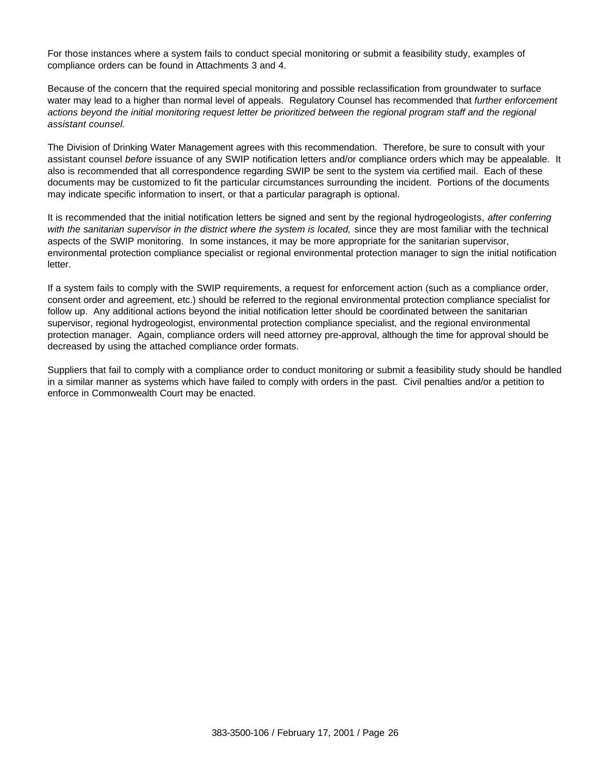For those instances where a system fails to conduct special monitoring or submit a feasibility study, examples of compliance orders can be found in Attachments 3 and 4.

Because of the concern that the required special monitoring and possible reclassification from groundwater to surface water may lead to a higher than normal level of appeals. Regulatory Counsel has recommended that *further enforcement actions beyond the initial monitoring request letter be prioritized between the regional program staff and the regional assistant counsel.*

The Division of Drinking Water Management agrees with this recommendation. Therefore, be sure to consult with your assistant counsel *before* issuance of any SWIP notification letters and/or compliance orders which may be appealable. It also is recommended that all correspondence regarding SWIP be sent to the system via certified mail. Each of these documents may be customized to fit the particular circumstances surrounding the incident. Portions of the documents may indicate specific information to insert, or that a particular paragraph is optional.

It is recommended that the initial notification letters be signed and sent by the regional hydrogeologists, *after conferring with the sanitarian supervisor in the district where the system is located,* since they are most familiar with the technical aspects of the SWIP monitoring. In some instances, it may be more appropriate for the sanitarian supervisor, environmental protection compliance specialist or regional environmental protection manager to sign the initial notification letter.

If a system fails to comply with the SWIP requirements, a request for enforcement action (such as a compliance order, consent order and agreement, etc.) should be referred to the regional environmental protection compliance specialist for follow up. Any additional actions beyond the initial notification letter should be coordinated between the sanitarian supervisor, regional hydrogeologist, environmental protection compliance specialist, and the regional environmental protection manager. Again, compliance orders will need attorney pre-approval, although the time for approval should be decreased by using the attached compliance order formats.

Suppliers that fail to comply with a compliance order to conduct monitoring or submit a feasibility study should be handled in a similar manner as systems which have failed to comply with orders in the past. Civil penalties and/or a petition to enforce in Commonwealth Court may be enacted.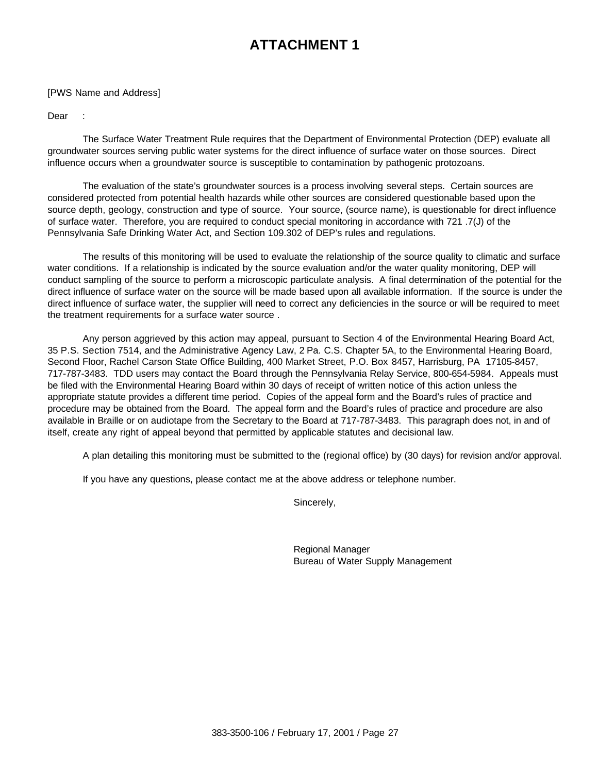#### [PWS Name and Address]

Dear :

The Surface Water Treatment Rule requires that the Department of Environmental Protection (DEP) evaluate all groundwater sources serving public water systems for the direct influence of surface water on those sources. Direct influence occurs when a groundwater source is susceptible to contamination by pathogenic protozoans.

The evaluation of the state's groundwater sources is a process involving several steps. Certain sources are considered protected from potential health hazards while other sources are considered questionable based upon the source depth, geology, construction and type of source. Your source, (source name), is questionable for direct influence of surface water. Therefore, you are required to conduct special monitoring in accordance with 721 .7(J) of the Pennsylvania Safe Drinking Water Act, and Section 109.302 of DEP's rules and regulations.

The results of this monitoring will be used to evaluate the relationship of the source quality to climatic and surface water conditions. If a relationship is indicated by the source evaluation and/or the water quality monitoring, DEP will conduct sampling of the source to perform a microscopic particulate analysis. A final determination of the potential for the direct influence of surface water on the source will be made based upon all available information. If the source is under the direct influence of surface water, the supplier will need to correct any deficiencies in the source or will be required to meet the treatment requirements for a surface water source .

Any person aggrieved by this action may appeal, pursuant to Section 4 of the Environmental Hearing Board Act, 35 P.S. Section 7514, and the Administrative Agency Law, 2 Pa. C.S. Chapter 5A, to the Environmental Hearing Board, Second Floor, Rachel Carson State Office Building, 400 Market Street, P.O. Box 8457, Harrisburg, PA 17105-8457, 717-787-3483. TDD users may contact the Board through the Pennsylvania Relay Service, 800-654-5984. Appeals must be filed with the Environmental Hearing Board within 30 days of receipt of written notice of this action unless the appropriate statute provides a different time period. Copies of the appeal form and the Board's rules of practice and procedure may be obtained from the Board. The appeal form and the Board's rules of practice and procedure are also available in Braille or on audiotape from the Secretary to the Board at 717-787-3483. This paragraph does not, in and of itself, create any right of appeal beyond that permitted by applicable statutes and decisional law.

A plan detailing this monitoring must be submitted to the (regional office) by (30 days) for revision and/or approval.

If you have any questions, please contact me at the above address or telephone number.

Sincerely,

Regional Manager Bureau of Water Supply Management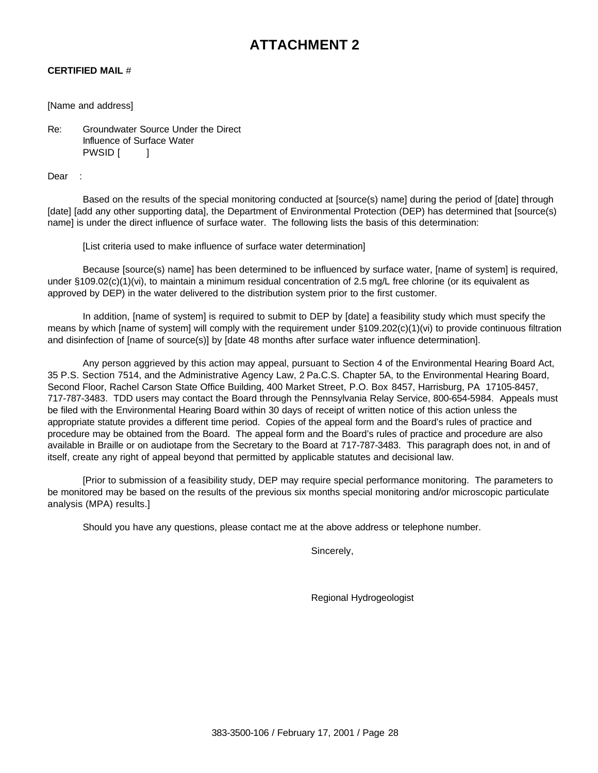#### **CERTIFIED MAIL** #

#### [Name and address]

Re: Groundwater Source Under the Direct Influence of Surface Water PWSID [ ]

Dear :

Based on the results of the special monitoring conducted at [source(s) name] during the period of [date] through [date] [add any other supporting data], the Department of Environmental Protection (DEP) has determined that [source(s)] name] is under the direct influence of surface water. The following lists the basis of this determination:

[List criteria used to make influence of surface water determination]

Because [source(s) name] has been determined to be influenced by surface water, [name of system] is required, under §109.02(c)(1)(vi), to maintain a minimum residual concentration of 2.5 mg/L free chlorine (or its equivalent as approved by DEP) in the water delivered to the distribution system prior to the first customer.

In addition, [name of system] is required to submit to DEP by [date] a feasibility study which must specify the means by which [name of system] will comply with the requirement under §109.202(c)(1)(vi) to provide continuous filtration and disinfection of [name of source(s)] by [date 48 months after surface water influence determination].

Any person aggrieved by this action may appeal, pursuant to Section 4 of the Environmental Hearing Board Act, 35 P.S. Section 7514, and the Administrative Agency Law, 2 Pa.C.S. Chapter 5A, to the Environmental Hearing Board, Second Floor, Rachel Carson State Office Building, 400 Market Street, P.O. Box 8457, Harrisburg, PA 17105-8457, 717-787-3483. TDD users may contact the Board through the Pennsylvania Relay Service, 800-654-5984. Appeals must be filed with the Environmental Hearing Board within 30 days of receipt of written notice of this action unless the appropriate statute provides a different time period. Copies of the appeal form and the Board's rules of practice and procedure may be obtained from the Board. The appeal form and the Board's rules of practice and procedure are also available in Braille or on audiotape from the Secretary to the Board at 717-787-3483. This paragraph does not, in and of itself, create any right of appeal beyond that permitted by applicable statutes and decisional law.

[Prior to submission of a feasibility study, DEP may require special performance monitoring. The parameters to be monitored may be based on the results of the previous six months special monitoring and/or microscopic particulate analysis (MPA) results.]

Should you have any questions, please contact me at the above address or telephone number.

Sincerely,

Regional Hydrogeologist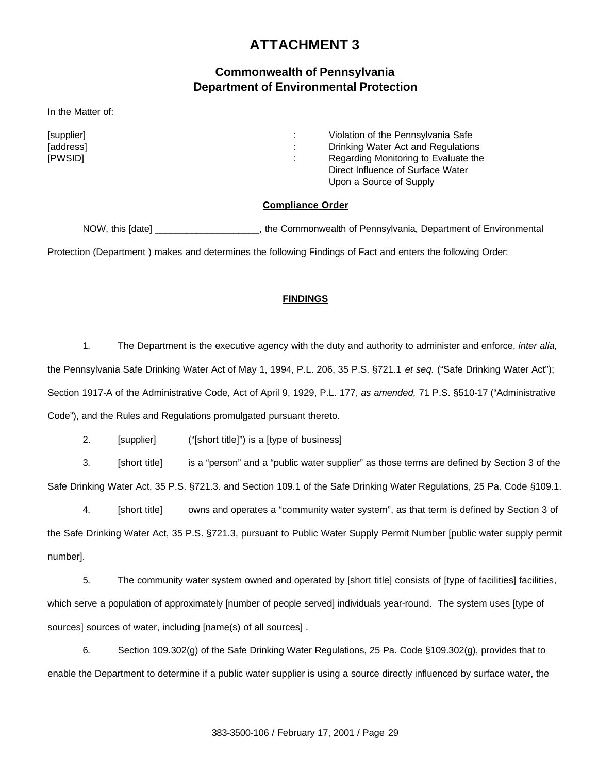### **Commonwealth of Pennsylvania Department of Environmental Protection**

In the Matter of:

| [supplier]<br>[address]<br>[PWSID] | . . | Violation of the Pennsylvania Safe<br>Drinking Water Act and Regulations<br>Regarding Monitoring to Evaluate the<br>Direct Influence of Surface Water |
|------------------------------------|-----|-------------------------------------------------------------------------------------------------------------------------------------------------------|
|                                    |     | Upon a Source of Supply                                                                                                                               |

#### **Compliance Order**

NOW, this [date] This is a commonwealth of Pennsylvania, Department of Environmental

Protection (Department ) makes and determines the following Findings of Fact and enters the following Order:

#### **FINDINGS**

1. The Department is the executive agency with the duty and authority to administer and enforce, *inter alia,*  the Pennsylvania Safe Drinking Water Act of May 1, 1994, P.L. 206, 35 P.S. §721.1 *et seq.* ("Safe Drinking Water Act"); Section 1917-A of the Administrative Code, Act of April 9, 1929, P.L. 177, *as amended,* 71 P.S. §510-17 ("Administrative Code"), and the Rules and Regulations promulgated pursuant thereto.

2. [supplier] ("[short title]") is a [type of business]

3. [short title] is a "person" and a "public water supplier" as those terms are defined by Section 3 of the Safe Drinking Water Act, 35 P.S. §721.3. and Section 109.1 of the Safe Drinking Water Regulations, 25 Pa. Code §109.1.

4. [short title] owns and operates a "community water system", as that term is defined by Section 3 of the Safe Drinking Water Act, 35 P.S. §721.3, pursuant to Public Water Supply Permit Number [public water supply permit number].

5. The community water system owned and operated by [short title] consists of [type of facilities] facilities, which serve a population of approximately [number of people served] individuals year-round. The system uses [type of sources] sources of water, including [name(s) of all sources] .

6. Section 109.302(g) of the Safe Drinking Water Regulations, 25 Pa. Code §109.302(g), provides that to enable the Department to determine if a public water supplier is using a source directly influenced by surface water, the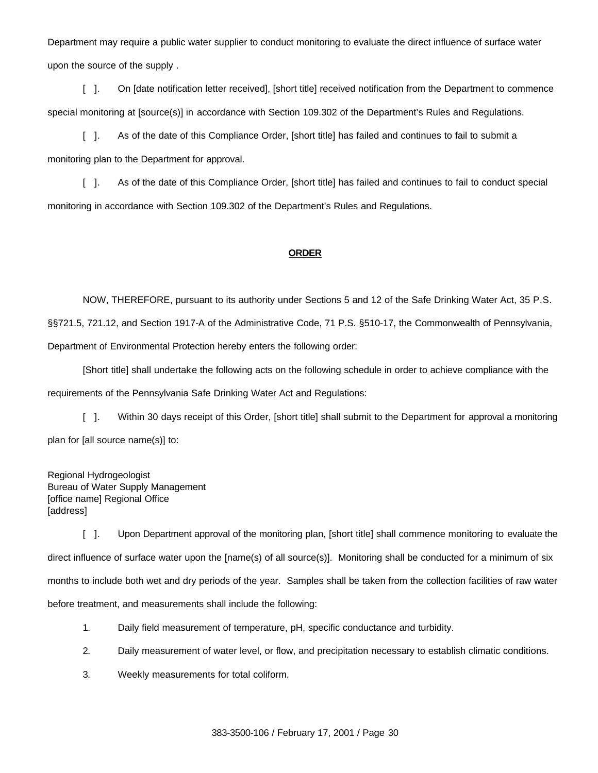Department may require a public water supplier to conduct monitoring to evaluate the direct influence of surface water upon the source of the supply .

[ ]. On [date notification letter received], [short title] received notification from the Department to commence special monitoring at [source(s)] in accordance with Section 109.302 of the Department's Rules and Regulations.

[ ]. As of the date of this Compliance Order, [short title] has failed and continues to fail to submit a monitoring plan to the Department for approval.

[ ]. As of the date of this Compliance Order, [short title] has failed and continues to fail to conduct special monitoring in accordance with Section 109.302 of the Department's Rules and Regulations.

#### **ORDER**

NOW, THEREFORE, pursuant to its authority under Sections 5 and 12 of the Safe Drinking Water Act, 35 P.S. §§721.5, 721.12, and Section 1917-A of the Administrative Code, 71 P.S. §510-17, the Commonwealth of Pennsylvania, Department of Environmental Protection hereby enters the following order:

[Short title] shall undertake the following acts on the following schedule in order to achieve compliance with the requirements of the Pennsylvania Safe Drinking Water Act and Regulations:

[ ]. Within 30 days receipt of this Order, [short title] shall submit to the Department for approval a monitoring plan for [all source name(s)] to:

Regional Hydrogeologist Bureau of Water Supply Management [office name] Regional Office [address]

[ ]. Upon Department approval of the monitoring plan, [short title] shall commence monitoring to evaluate the direct influence of surface water upon the [name(s) of all source(s)]. Monitoring shall be conducted for a minimum of six months to include both wet and dry periods of the year. Samples shall be taken from the collection facilities of raw water before treatment, and measurements shall include the following:

- 1. Daily field measurement of temperature, pH, specific conductance and turbidity.
- 2. Daily measurement of water level, or flow, and precipitation necessary to establish climatic conditions.
- 3. Weekly measurements for total coliform.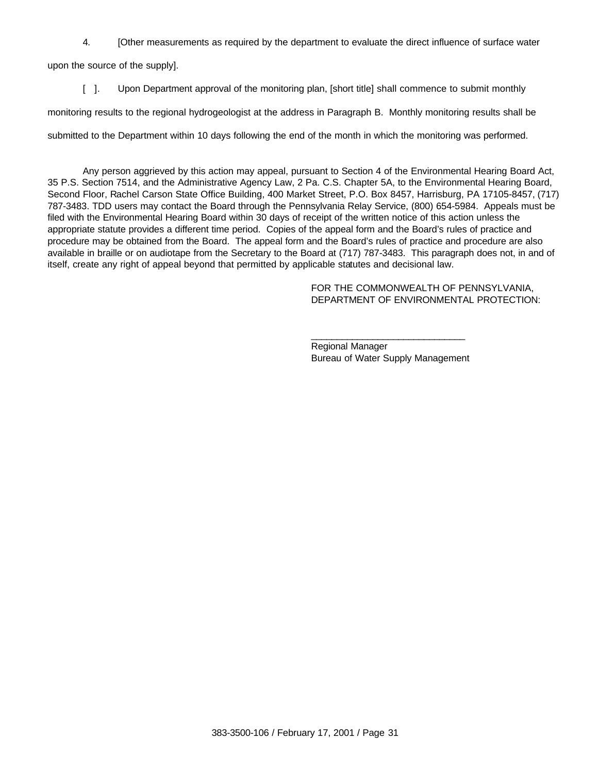4. [Other measurements as required by the department to evaluate the direct influence of surface water

upon the source of the supply].

[ ]. Upon Department approval of the monitoring plan, [short title] shall commence to submit monthly

monitoring results to the regional hydrogeologist at the address in Paragraph B. Monthly monitoring results shall be

submitted to the Department within 10 days following the end of the month in which the monitoring was performed.

Any person aggrieved by this action may appeal, pursuant to Section 4 of the Environmental Hearing Board Act, 35 P.S. Section 7514, and the Administrative Agency Law, 2 Pa. C.S. Chapter 5A, to the Environmental Hearing Board, Second Floor, Rachel Carson State Office Building, 400 Market Street, P.O. Box 8457, Harrisburg, PA 17105-8457, (717) 787-3483. TDD users may contact the Board through the Pennsylvania Relay Service, (800) 654-5984. Appeals must be filed with the Environmental Hearing Board within 30 days of receipt of the written notice of this action unless the appropriate statute provides a different time period. Copies of the appeal form and the Board's rules of practice and procedure may be obtained from the Board. The appeal form and the Board's rules of practice and procedure are also available in braille or on audiotape from the Secretary to the Board at (717) 787-3483. This paragraph does not, in and of itself, create any right of appeal beyond that permitted by applicable statutes and decisional law.

> FOR THE COMMONWEALTH OF PENNSYLVANIA, DEPARTMENT OF ENVIRONMENTAL PROTECTION:

\_\_\_\_\_\_\_\_\_\_\_\_\_\_\_\_\_\_\_\_\_\_\_\_\_\_\_\_\_\_ Regional Manager Bureau of Water Supply Management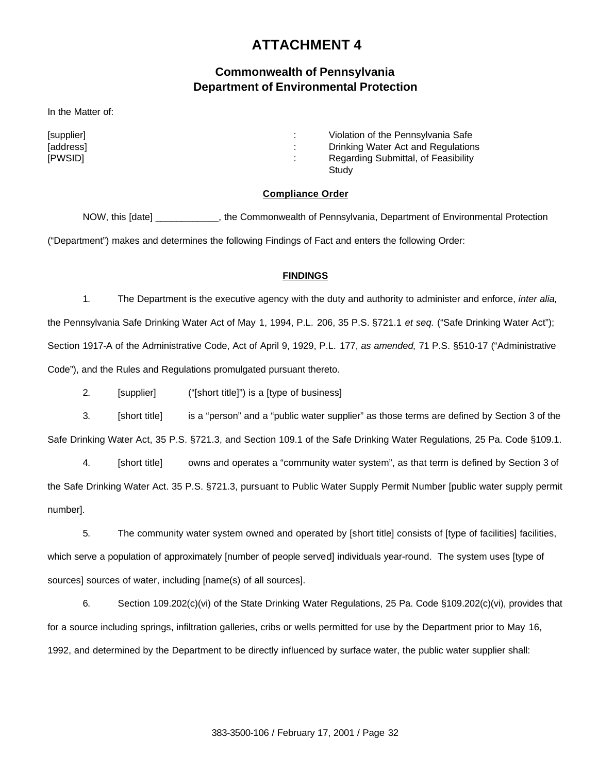### **Commonwealth of Pennsylvania Department of Environmental Protection**

In the Matter of:

[supplier] : Violation of the Pennsylvania Safe [address] [address] **(absolution in the contract of the contract of the contract of the contract of the contract of the contract of the contract of the contract of the contract of the contract of the contract of the contra** [PWSID] : Regarding Submittal, of Feasibility **Study** 

#### **Compliance Order**

NOW, this [date] \_\_\_\_\_\_\_\_\_\_\_\_, the Commonwealth of Pennsylvania, Department of Environmental Protection ("Department") makes and determines the following Findings of Fact and enters the following Order:

#### **FINDINGS**

1. The Department is the executive agency with the duty and authority to administer and enforce, *inter alia,*  the Pennsylvania Safe Drinking Water Act of May 1, 1994, P.L. 206, 35 P.S. §721.1 *et seq.* ("Safe Drinking Water Act"); Section 1917-A of the Administrative Code, Act of April 9, 1929, P.L. 177, *as amended,* 71 P.S. §510-17 ("Administrative Code"), and the Rules and Regulations promulgated pursuant thereto.

2. [supplier] ("[short title]") is a [type of business]

3. [short title] is a "person" and a "public water supplier" as those terms are defined by Section 3 of the Safe Drinking Water Act, 35 P.S. §721.3, and Section 109.1 of the Safe Drinking Water Regulations, 25 Pa. Code §109.1.

4. [short title] owns and operates a "community water system", as that term is defined by Section 3 of the Safe Drinking Water Act. 35 P.S. §721.3, pursuant to Public Water Supply Permit Number [public water supply permit number].

5. The community water system owned and operated by [short title] consists of [type of facilities] facilities, which serve a population of approximately [number of people served] individuals year-round. The system uses [type of sources] sources of water, including [name(s) of all sources].

6. Section 109.202(c)(vi) of the State Drinking Water Regulations, 25 Pa. Code §109.202(c)(vi), provides that for a source including springs, infiltration galleries, cribs or wells permitted for use by the Department prior to May 16, 1992, and determined by the Department to be directly influenced by surface water, the public water supplier shall: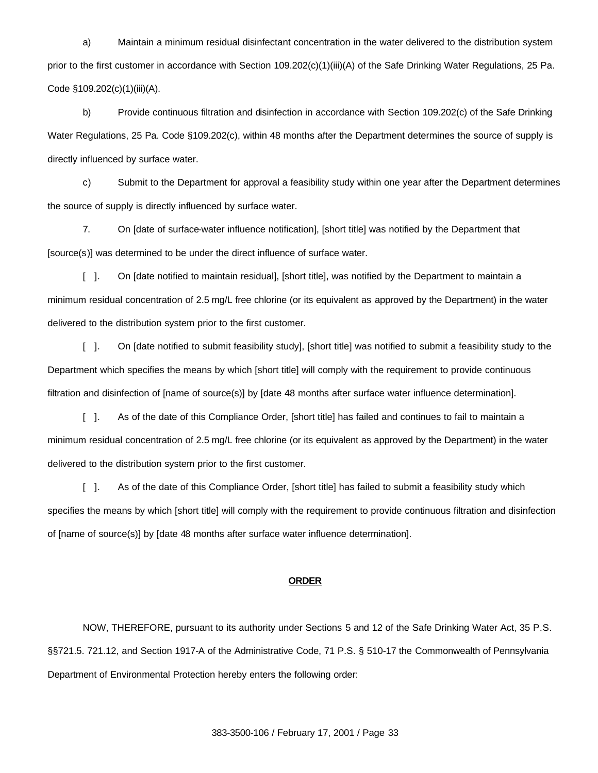a) Maintain a minimum residual disinfectant concentration in the water delivered to the distribution system prior to the first customer in accordance with Section 109.202(c)(1)(iii)(A) of the Safe Drinking Water Regulations, 25 Pa. Code §109.202(c)(1)(iii)(A).

b) Provide continuous filtration and disinfection in accordance with Section 109.202(c) of the Safe Drinking Water Regulations, 25 Pa. Code §109.202(c), within 48 months after the Department determines the source of supply is directly influenced by surface water.

c) Submit to the Department for approval a feasibility study within one year after the Department determines the source of supply is directly influenced by surface water.

7. On [date of surface-water influence notification], [short title] was notified by the Department that [source(s)] was determined to be under the direct influence of surface water.

[ ]. On [date notified to maintain residual], [short title], was notified by the Department to maintain a minimum residual concentration of 2.5 mg/L free chlorine (or its equivalent as approved by the Department) in the water delivered to the distribution system prior to the first customer.

[ ]. On [date notified to submit feasibility study], [short title] was notified to submit a feasibility study to the Department which specifies the means by which [short title] will comply with the requirement to provide continuous filtration and disinfection of [name of source(s)] by [date 48 months after surface water influence determination].

[ ]. As of the date of this Compliance Order, [short title] has failed and continues to fail to maintain a minimum residual concentration of 2.5 mg/L free chlorine (or its equivalent as approved by the Department) in the water delivered to the distribution system prior to the first customer.

[ ]. As of the date of this Compliance Order, [short title] has failed to submit a feasibility study which specifies the means by which [short title] will comply with the requirement to provide continuous filtration and disinfection of [name of source(s)] by [date 48 months after surface water influence determination].

#### **ORDER**

NOW, THEREFORE, pursuant to its authority under Sections 5 and 12 of the Safe Drinking Water Act, 35 P.S. §§721.5. 721.12, and Section 1917-A of the Administrative Code, 71 P.S. § 510-17 the Commonwealth of Pennsylvania Department of Environmental Protection hereby enters the following order: